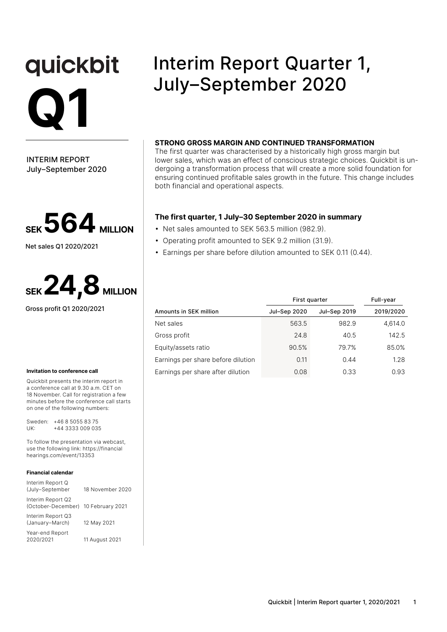# quickbit **Q1**

INTERIM REPORT July–September 2020



Net sales Q1 2020/2021



Gross profit Q1 2020/2021

#### **Invitation to conference call**

Quickbit presents the interim report in a conference call at 9.30 a.m. CET on 18 November. Call for registration a few minutes before the conference call starts on one of the following numbers:

Sweden: +46 8 5055 83 75 UK: +44 3333 009 035

To follow the presentation via webcast, use the following link: https://financial hearings.com/event/13353

#### **Financial calendar**

| Interim Report Q<br>(July-September     | 18 November 2020 |
|-----------------------------------------|------------------|
| Interim Report Q2<br>(October-December) | 10 February 2021 |
| Interim Report Q3<br>(January-March)    | 12 May 2021      |
| Year-end Report<br>2020/2021            | 11 August 2021   |

# Interim Report Quarter 1, July–September 2020

#### **STRONG GROSS MARGIN AND CONTINUED TRANSFORMATION**

The first quarter was characterised by a historically high gross margin but lower sales, which was an effect of conscious strategic choices. Quickbit is undergoing a transformation process that will create a more solid foundation for ensuring continued profitable sales growth in the future. This change includes both financial and operational aspects.

#### **The first quarter, 1 July–30 September 2020 in summary**

- Net sales amounted to SEK 563.5 million (982.9).
- Operating profit amounted to SEK 9.2 million (31.9).
- Earnings per share before dilution amounted to SEK 0.11 (0.44).

|                                    |              | First quarter |           |  |  |
|------------------------------------|--------------|---------------|-----------|--|--|
| Amounts in SEK million             | Jul-Sep 2020 | Jul-Sep 2019  | 2019/2020 |  |  |
| Net sales                          | 563.5        | 982.9         | 4,614.0   |  |  |
| Gross profit                       | 24.8         | 40.5          | 142.5     |  |  |
| Equity/assets ratio                | 90.5%        | 79.7%         | 85.0%     |  |  |
| Earnings per share before dilution | 0.11         | 0.44          | 1.28      |  |  |
| Earnings per share after dilution  | 0.08         | 0.33          | 0.93      |  |  |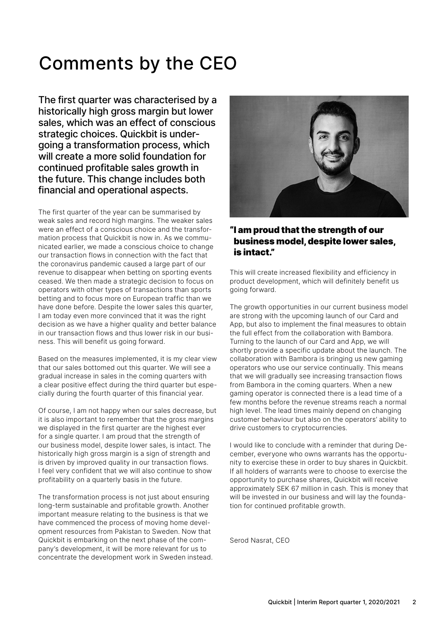# Comments by the CEO

The first quarter was characterised by a historically high gross margin but lower sales, which was an effect of conscious strategic choices. Quickbit is undergoing a transformation process, which will create a more solid foundation for continued profitable sales growth in the future. This change includes both financial and operational aspects.

The first quarter of the year can be summarised by weak sales and record high margins. The weaker sales were an effect of a conscious choice and the transformation process that Quickbit is now in. As we communicated earlier, we made a conscious choice to change our transaction flows in connection with the fact that the coronavirus pandemic caused a large part of our revenue to disappear when betting on sporting events ceased. We then made a strategic decision to focus on operators with other types of transactions than sports betting and to focus more on European traffic than we have done before. Despite the lower sales this quarter, I am today even more convinced that it was the right decision as we have a higher quality and better balance in our transaction flows and thus lower risk in our business. This will benefit us going forward.

Based on the measures implemented, it is my clear view that our sales bottomed out this quarter. We will see a gradual increase in sales in the coming quarters with a clear positive effect during the third quarter but especially during the fourth quarter of this financial year.

Of course, I am not happy when our sales decrease, but it is also important to remember that the gross margins we displayed in the first quarter are the highest ever for a single quarter. I am proud that the strength of our business model, despite lower sales, is intact. The historically high gross margin is a sign of strength and is driven by improved quality in our transaction flows. I feel very confident that we will also continue to show profitability on a quarterly basis in the future.

The transformation process is not just about ensuring long-term sustainable and profitable growth. Another important measure relating to the business is that we have commenced the process of moving home development resources from Pakistan to Sweden. Now that Quickbit is embarking on the next phase of the company's development, it will be more relevant for us to concentrate the development work in Sweden instead.



### "I am proud that the strength of our business model, despite lower sales, is intact."

This will create increased flexibility and efficiency in product development, which will definitely benefit us going forward.

The growth opportunities in our current business model are strong with the upcoming launch of our Card and App, but also to implement the final measures to obtain the full effect from the collaboration with Bambora. Turning to the launch of our Card and App, we will shortly provide a specific update about the launch. The collaboration with Bambora is bringing us new gaming operators who use our service continually. This means that we will gradually see increasing transaction flows from Bambora in the coming quarters. When a new gaming operator is connected there is a lead time of a few months before the revenue streams reach a normal high level. The lead times mainly depend on changing customer behaviour but also on the operators' ability to drive customers to cryptocurrencies.

I would like to conclude with a reminder that during December, everyone who owns warrants has the opportunity to exercise these in order to buy shares in Quickbit. If all holders of warrants were to choose to exercise the opportunity to purchase shares, Quickbit will receive approximately SEK 67 million in cash. This is money that will be invested in our business and will lay the foundation for continued profitable growth.

Serod Nasrat, CEO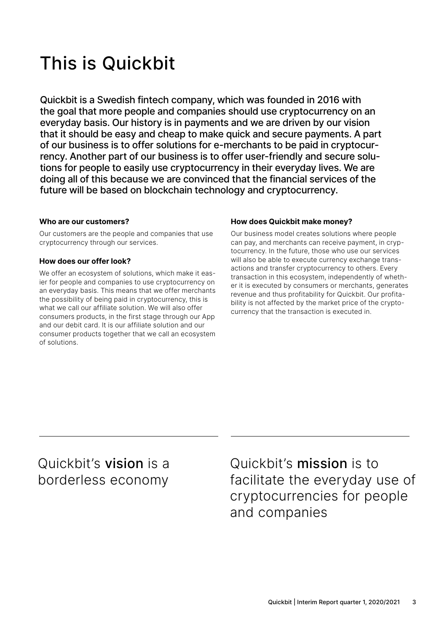# This is Quickbit

Quickbit is a Swedish fintech company, which was founded in 2016 with the goal that more people and companies should use cryptocurrency on an everyday basis. Our history is in payments and we are driven by our vision that it should be easy and cheap to make quick and secure payments. A part of our business is to offer solutions for e-merchants to be paid in cryptocurrency. Another part of our business is to offer user-friendly and secure solutions for people to easily use cryptocurrency in their everyday lives. We are doing all of this because we are convinced that the financial services of the future will be based on blockchain technology and cryptocurrency.

#### **Who are our customers?**

Our customers are the people and companies that use cryptocurrency through our services.

### **How does our offer look?**

We offer an ecosystem of solutions, which make it easier for people and companies to use cryptocurrency on an everyday basis. This means that we offer merchants the possibility of being paid in cryptocurrency, this is what we call our affiliate solution. We will also offer consumers products, in the first stage through our App and our debit card. It is our affiliate solution and our consumer products together that we call an ecosystem of solutions.

### **How does Quickbit make money?**

Our business model creates solutions where people can pay, and merchants can receive payment, in cryptocurrency. In the future, those who use our services will also be able to execute currency exchange transactions and transfer cryptocurrency to others. Every transaction in this ecosystem, independently of whether it is executed by consumers or merchants, generates revenue and thus profitability for Quickbit. Our profitability is not affected by the market price of the cryptocurrency that the transaction is executed in.

### Quickbit's vision is a borderless economy

Quickbit's mission is to facilitate the everyday use of cryptocurrencies for people and companies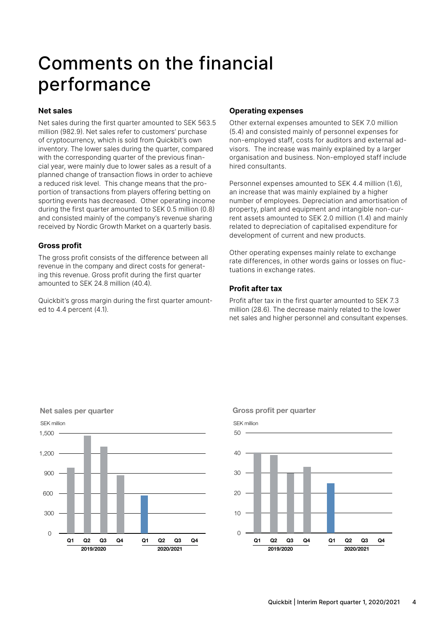# Comments on the financial performance

#### **Net sales**

Net sales during the first quarter amounted to SEK 563.5 million (982.9). Net sales refer to customers' purchase of cryptocurrency, which is sold from Quickbit's own inventory. The lower sales during the quarter, compared with the corresponding quarter of the previous financial year, were mainly due to lower sales as a result of a planned change of transaction flows in order to achieve a reduced risk level. This change means that the proportion of transactions from players offering betting on sporting events has decreased. Other operating income during the first quarter amounted to SEK 0.5 million (0.8) and consisted mainly of the company's revenue sharing received by Nordic Growth Market on a quarterly basis.

#### **Gross profit**

The gross profit consists of the difference between all revenue in the company and direct costs for generating this revenue. Gross profit during the first quarter amounted to SEK 24.8 million (40.4).

Quickbit's gross margin during the first quarter amounted to 4.4 percent (4.1).

#### **Operating expenses**

Other external expenses amounted to SEK 7.0 million (5.4) and consisted mainly of personnel expenses for non-employed staff, costs for auditors and external advisors. The increase was mainly explained by a larger organisation and business. Non-employed staff include hired consultants.

Personnel expenses amounted to SEK 4.4 million (1.6), an increase that was mainly explained by a higher number of employees. Depreciation and amortisation of property, plant and equipment and intangible non-current assets amounted to SEK 2.0 million (1.4) and mainly related to depreciation of capitalised expenditure for development of current and new products.

Other operating expenses mainly relate to exchange rate differences, in other words gains or losses on fluctuations in exchange rates.

#### **Profit after tax**

Profit after tax in the first quarter amounted to SEK 7.3 million (28.6). The decrease mainly related to the lower net sales and higher personnel and consultant expenses.



Gross profit per quarter

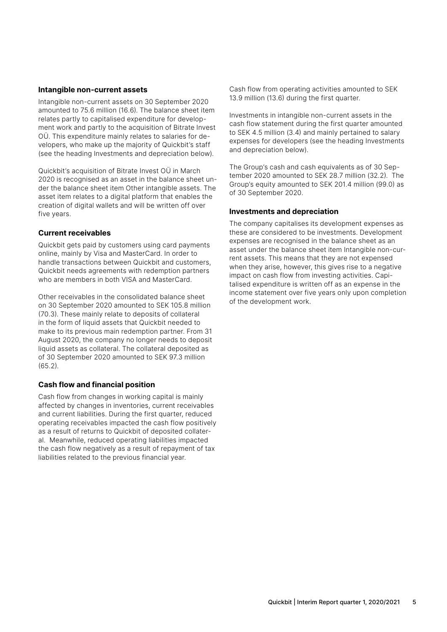#### **Intangible non-current assets**

Intangible non-current assets on 30 September 2020 amounted to 75.6 million (16.6). The balance sheet item relates partly to capitalised expenditure for development work and partly to the acquisition of Bitrate Invest OÜ. This expenditure mainly relates to salaries for developers, who make up the majority of Quickbit's staff (see the heading Investments and depreciation below).

Quickbit's acquisition of Bitrate Invest OÜ in March 2020 is recognised as an asset in the balance sheet under the balance sheet item Other intangible assets. The asset item relates to a digital platform that enables the creation of digital wallets and will be written off over five years.

#### **Current receivables**

Quickbit gets paid by customers using card payments online, mainly by Visa and MasterCard. In order to handle transactions between Quickbit and customers, Quickbit needs agreements with redemption partners who are members in both VISA and MasterCard.

Other receivables in the consolidated balance sheet on 30 September 2020 amounted to SEK 105.8 million (70.3). These mainly relate to deposits of collateral in the form of liquid assets that Quickbit needed to make to its previous main redemption partner. From 31 August 2020, the company no longer needs to deposit liquid assets as collateral. The collateral deposited as of 30 September 2020 amounted to SEK 97.3 million  $(65.2)$ 

#### **Cash flow and financial position**

Cash flow from changes in working capital is mainly affected by changes in inventories, current receivables and current liabilities. During the first quarter, reduced operating receivables impacted the cash flow positively as a result of returns to Quickbit of deposited collateral. Meanwhile, reduced operating liabilities impacted the cash flow negatively as a result of repayment of tax liabilities related to the previous financial year.

Cash flow from operating activities amounted to SEK 13.9 million (13.6) during the first quarter.

Investments in intangible non-current assets in the cash flow statement during the first quarter amounted to SEK 4.5 million (3.4) and mainly pertained to salary expenses for developers (see the heading Investments and depreciation below).

The Group's cash and cash equivalents as of 30 September 2020 amounted to SEK 28.7 million (32.2). The Group's equity amounted to SEK 201.4 million (99.0) as of 30 September 2020.

#### **Investments and depreciation**

The company capitalises its development expenses as these are considered to be investments. Development expenses are recognised in the balance sheet as an asset under the balance sheet item Intangible non-current assets. This means that they are not expensed when they arise, however, this gives rise to a negative impact on cash flow from investing activities. Capitalised expenditure is written off as an expense in the income statement over five years only upon completion of the development work.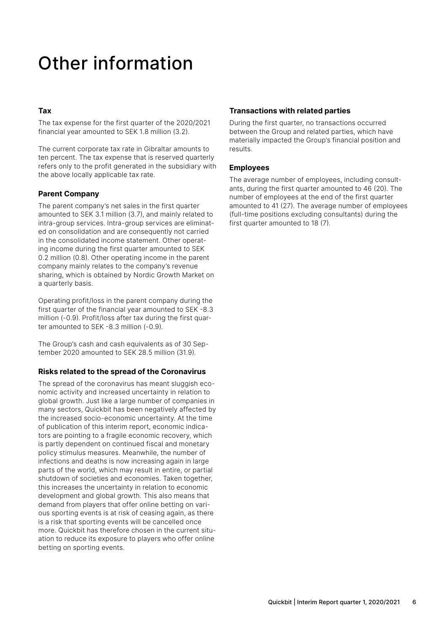# Other information

### **Tax**

The tax expense for the first quarter of the 2020/2021 financial year amounted to SEK 1.8 million (3.2).

The current corporate tax rate in Gibraltar amounts to ten percent. The tax expense that is reserved quarterly refers only to the profit generated in the subsidiary with the above locally applicable tax rate.

### **Parent Company**

The parent company's net sales in the first quarter amounted to SEK 3.1 million (3.7), and mainly related to intra-group services. Intra-group services are eliminated on consolidation and are consequently not carried in the consolidated income statement. Other operating income during the first quarter amounted to SEK 0.2 million (0.8). Other operating income in the parent company mainly relates to the company's revenue sharing, which is obtained by Nordic Growth Market on a quarterly basis.

Operating profit/loss in the parent company during the first quarter of the financial year amounted to SEK -8.3 million (-0.9). Profit/loss after tax during the first quarter amounted to SEK -8.3 million (-0.9).

The Group's cash and cash equivalents as of 30 September 2020 amounted to SEK 28.5 million (31.9).

### **Risks related to the spread of the Coronavirus**

The spread of the coronavirus has meant sluggish economic activity and increased uncertainty in relation to global growth. Just like a large number of companies in many sectors, Quickbit has been negatively affected by the increased socio-economic uncertainty. At the time of publication of this interim report, economic indicators are pointing to a fragile economic recovery, which is partly dependent on continued fiscal and monetary policy stimulus measures. Meanwhile, the number of infections and deaths is now increasing again in large parts of the world, which may result in entire, or partial shutdown of societies and economies. Taken together, this increases the uncertainty in relation to economic development and global growth. This also means that demand from players that offer online betting on various sporting events is at risk of ceasing again, as there is a risk that sporting events will be cancelled once more. Quickbit has therefore chosen in the current situation to reduce its exposure to players who offer online betting on sporting events.

### **Transactions with related parties**

During the first quarter, no transactions occurred between the Group and related parties, which have materially impacted the Group's financial position and results.

### **Employees**

The average number of employees, including consultants, during the first quarter amounted to 46 (20). The number of employees at the end of the first quarter amounted to 41 (27). The average number of employees (full-time positions excluding consultants) during the first quarter amounted to 18 (7).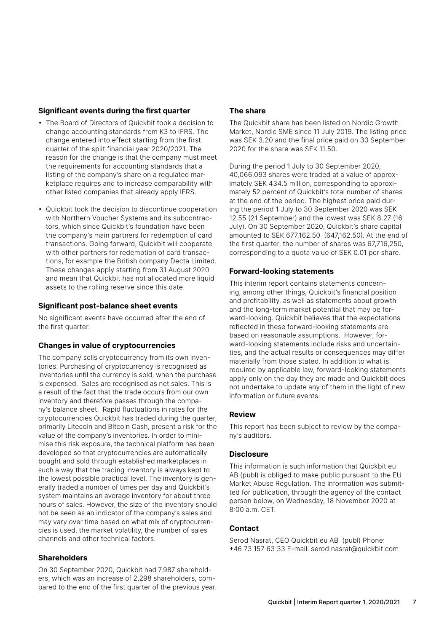#### **Significant events during the first quarter**

- The Board of Directors of Quickbit took a decision to change accounting standards from K3 to IFRS. The change entered into effect starting from the first quarter of the split financial year 2020/2021. The reason for the change is that the company must meet the requirements for accounting standards that a listing of the company's share on a regulated marketplace requires and to increase comparability with other listed companies that already apply IFRS.
- Quickbit took the decision to discontinue cooperation with Northern Voucher Systems and its subcontractors, which since Quickbit's foundation have been the company's main partners for redemption of card transactions. Going forward, Quickbit will cooperate with other partners for redemption of card transactions, for example the British company Decta Limited. These changes apply starting from 31 August 2020 and mean that Quickbit has not allocated more liquid assets to the rolling reserve since this date.

#### **Significant post-balance sheet events**

No significant events have occurred after the end of the first quarter.

#### **Changes in value of cryptocurrencies**

The company sells cryptocurrency from its own inventories. Purchasing of cryptocurrency is recognised as inventories until the currency is sold, when the purchase is expensed. Sales are recognised as net sales. This is a result of the fact that the trade occurs from our own inventory and therefore passes through the company's balance sheet. Rapid fluctuations in rates for the cryptocurrencies Quickbit has traded during the quarter, primarily Litecoin and Bitcoin Cash, present a risk for the value of the company's inventories. In order to minimise this risk exposure, the technical platform has been developed so that cryptocurrencies are automatically bought and sold through established marketplaces in such a way that the trading inventory is always kept to the lowest possible practical level. The inventory is generally traded a number of times per day and Quickbit's system maintains an average inventory for about three hours of sales. However, the size of the inventory should not be seen as an indicator of the company's sales and may vary over time based on what mix of cryptocurrencies is used, the market volatility, the number of sales channels and other technical factors.

#### **Shareholders**

On 30 September 2020, Quickbit had 7,987 shareholders, which was an increase of 2,298 shareholders, compared to the end of the first quarter of the previous year.

### **The share**

The Quickbit share has been listed on Nordic Growth Market, Nordic SME since 11 July 2019. The listing price was SEK 3.20 and the final price paid on 30 September 2020 for the share was SEK 11.50.

During the period 1 July to 30 September 2020, 40,066,093 shares were traded at a value of approximately SEK 434.5 million, corresponding to approximately 52 percent of Quickbit's total number of shares at the end of the period. The highest price paid during the period 1 July to 30 September 2020 was SEK 12.55 (21 September) and the lowest was SEK 8.27 (16 July). On 30 September 2020, Quickbit's share capital amounted to SEK 677,162.50 (647,162.50). At the end of the first quarter, the number of shares was 67,716,250, corresponding to a quota value of SEK 0.01 per share.

#### **Forward-looking statements**

This interim report contains statements concerning, among other things, Quickbit's financial position and profitability, as well as statements about growth and the long-term market potential that may be forward-looking. Quickbit believes that the expectations reflected in these forward-looking statements are based on reasonable assumptions. However, forward-looking statements include risks and uncertainties, and the actual results or consequences may differ materially from those stated. In addition to what is required by applicable law, forward-looking statements apply only on the day they are made and Quickbit does not undertake to update any of them in the light of new information or future events.

#### **Review**

This report has been subject to review by the company's auditors.

#### **Disclosure**

This information is such information that Quickbit eu AB (publ) is obliged to make public pursuant to the EU Market Abuse Regulation. The information was submitted for publication, through the agency of the contact person below, on Wednesday, 18 November 2020 at 8:00 a.m. CET.

#### **Contact**

Serod Nasrat, CEO Quickbit eu AB (publ) Phone: +46 73 157 63 33 E-mail: serod.nasrat@quickbit.com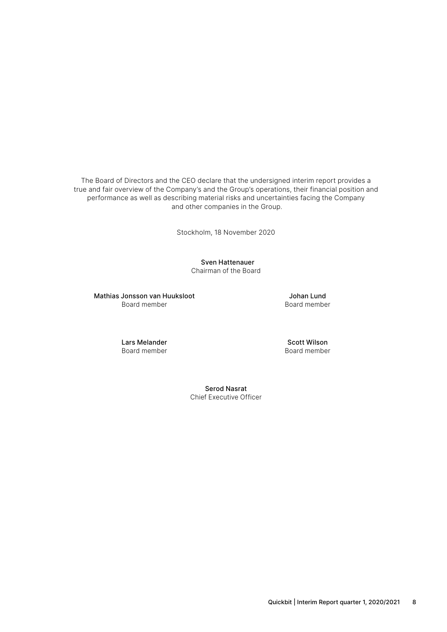The Board of Directors and the CEO declare that the undersigned interim report provides a true and fair overview of the Company's and the Group's operations, their financial position and performance as well as describing material risks and uncertainties facing the Company and other companies in the Group.

Stockholm, 18 November 2020

 Sven Hattenauer Chairman of the Board

Mathias Jonsson van Huuksloot Board member

Johan Lund Board member

Lars Melander Board member

Scott Wilson Board member

Serod Nasrat Chief Executive Officer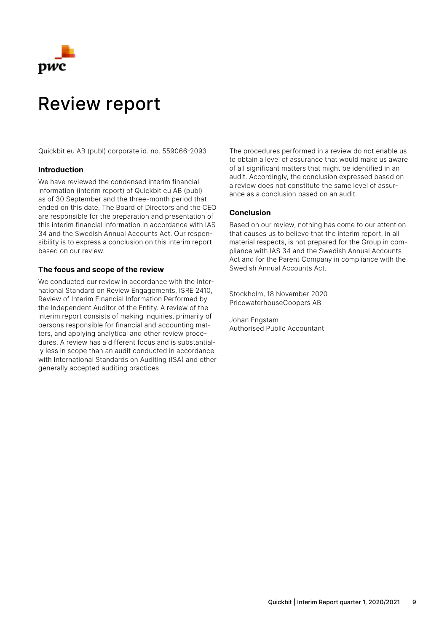

## Review report

Quickbit eu AB (publ) corporate id. no. 559066-2093

#### **Introduction**

We have reviewed the condensed interim financial information (interim report) of Quickbit eu AB (publ) as of 30 September and the three-month period that ended on this date. The Board of Directors and the CEO are responsible for the preparation and presentation of this interim financial information in accordance with IAS 34 and the Swedish Annual Accounts Act. Our responsibility is to express a conclusion on this interim report based on our review.

#### **The focus and scope of the review**

We conducted our review in accordance with the International Standard on Review Engagements, ISRE 2410, Review of Interim Financial Information Performed by the Independent Auditor of the Entity. A review of the interim report consists of making inquiries, primarily of persons responsible for financial and accounting matters, and applying analytical and other review procedures. A review has a different focus and is substantially less in scope than an audit conducted in accordance with International Standards on Auditing (ISA) and other generally accepted auditing practices.

The procedures performed in a review do not enable us to obtain a level of assurance that would make us aware of all significant matters that might be identified in an audit. Accordingly, the conclusion expressed based on a review does not constitute the same level of assurance as a conclusion based on an audit.

#### **Conclusion**

Based on our review, nothing has come to our attention that causes us to believe that the interim report, in all material respects, is not prepared for the Group in compliance with IAS 34 and the Swedish Annual Accounts Act and for the Parent Company in compliance with the Swedish Annual Accounts Act.

Stockholm, 18 November 2020 PricewaterhouseCoopers AB

Johan Engstam Authorised Public Accountant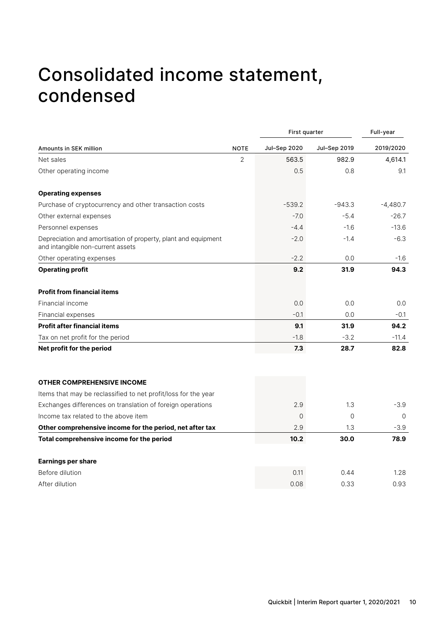# Consolidated income statement, condensed

|                                                                                                     |                | First quarter  |              | Full-year  |
|-----------------------------------------------------------------------------------------------------|----------------|----------------|--------------|------------|
| Amounts in SEK million                                                                              | <b>NOTE</b>    | Jul-Sep 2020   | Jul-Sep 2019 | 2019/2020  |
| Net sales                                                                                           | $\overline{2}$ | 563.5          | 982.9        | 4,614.1    |
| Other operating income                                                                              |                | 0.5            | 0.8          | 9.1        |
| <b>Operating expenses</b>                                                                           |                |                |              |            |
| Purchase of cryptocurrency and other transaction costs                                              |                | $-539.2$       | $-943.3$     | $-4,480.7$ |
| Other external expenses                                                                             |                | $-7.0$         | $-5.4$       | $-26.7$    |
| Personnel expenses                                                                                  |                | $-4.4$         | $-1.6$       | $-13.6$    |
| Depreciation and amortisation of property, plant and equipment<br>and intangible non-current assets |                | $-2.0$         | $-1.4$       | $-6.3$     |
| Other operating expenses                                                                            |                | $-2.2$         | 0.0          | $-1.6$     |
| <b>Operating profit</b>                                                                             |                | 9.2            | 31.9         | 94.3       |
| <b>Profit from financial items</b>                                                                  |                |                |              |            |
| Financial income                                                                                    |                | 0.0            | 0.0          | 0.0        |
| Financial expenses                                                                                  |                | $-0.1$         | 0.0          | $-0.1$     |
| <b>Profit after financial items</b>                                                                 |                | 9.1            | 31.9         | 94.2       |
| Tax on net profit for the period                                                                    |                | $-1.8$         | $-3.2$       | $-11.4$    |
| Net profit for the period                                                                           |                | 7.3            | 28.7         | 82.8       |
| <b>OTHER COMPREHENSIVE INCOME</b>                                                                   |                |                |              |            |
| Items that may be reclassified to net profit/loss for the year                                      |                |                |              |            |
| Exchanges differences on translation of foreign operations                                          |                | 2.9            | 1.3          | $-3.9$     |
| Income tax related to the above item                                                                |                | $\overline{0}$ | $\mathbf 0$  | $\Omega$   |
| Other comprehensive income for the period, net after tax                                            |                | 2.9            | 1.3          | $-3.9$     |
| Total comprehensive income for the period                                                           |                | 10.2           | 30.0         | 78.9       |
| <b>Earnings per share</b>                                                                           |                |                |              |            |
| Before dilution                                                                                     |                | 0.11           | 0.44         | 1.28       |
| After dilution                                                                                      |                | 0.08           | 0.33         | 0.93       |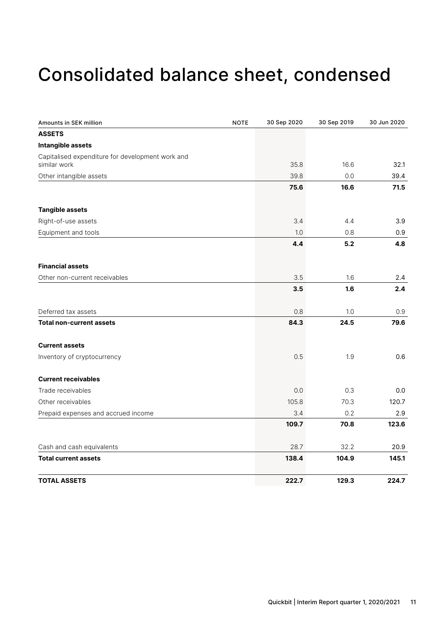# Consolidated balance sheet, condensed

| Amounts in SEK million                           | <b>NOTE</b> | 30 Sep 2020 | 30 Sep 2019 | 30 Jun 2020 |
|--------------------------------------------------|-------------|-------------|-------------|-------------|
| <b>ASSETS</b>                                    |             |             |             |             |
| Intangible assets                                |             |             |             |             |
| Capitalised expenditure for development work and |             |             |             |             |
| similar work                                     |             | 35.8        | 16.6        | 32.1        |
| Other intangible assets                          |             | 39.8        | 0.0         | 39.4        |
|                                                  |             | 75.6        | 16.6        | 71.5        |
| <b>Tangible assets</b>                           |             |             |             |             |
| Right-of-use assets                              |             | 3.4         | 4.4         | 3.9         |
| Equipment and tools                              |             | 1.0         | 0.8         | 0.9         |
|                                                  |             | 4.4         | 5.2         | 4.8         |
| <b>Financial assets</b>                          |             |             |             |             |
| Other non-current receivables                    |             | 3.5         | 1.6         | 2.4         |
|                                                  |             | 3.5         | 1.6         | 2.4         |
|                                                  |             |             |             |             |
| Deferred tax assets                              |             | 0.8         | 1.0         | 0.9         |
| <b>Total non-current assets</b>                  |             | 84.3        | 24.5        | 79.6        |
| <b>Current assets</b>                            |             |             |             |             |
| Inventory of cryptocurrency                      |             | 0.5         | 1.9         | 0.6         |
| <b>Current receivables</b>                       |             |             |             |             |
| Trade receivables                                |             | 0.0         | 0.3         | 0.0         |
| Other receivables                                |             | 105.8       | 70.3        | 120.7       |
| Prepaid expenses and accrued income              |             | 3.4         | 0.2         | 2.9         |
|                                                  |             | 109.7       | 70.8        | 123.6       |
| Cash and cash equivalents                        |             | 28.7        | 32.2        | 20.9        |
| <b>Total current assets</b>                      |             | 138.4       | 104.9       | 145.1       |
| <b>TOTAL ASSETS</b>                              |             | 222.7       | 129.3       | 224.7       |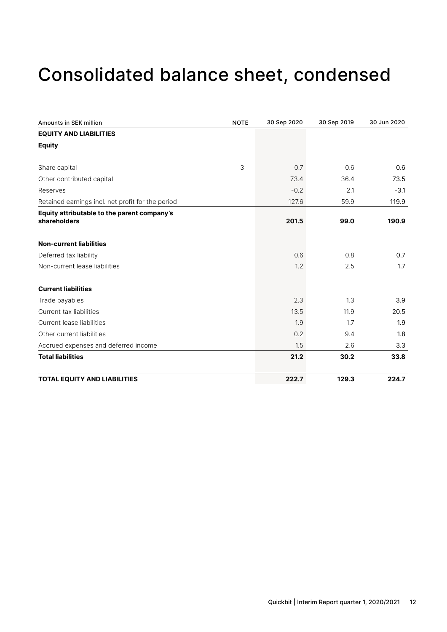# Consolidated balance sheet, condensed

| Amounts in SEK million                            | <b>NOTE</b> | 30 Sep 2020 | 30 Sep 2019 | 30 Jun 2020 |
|---------------------------------------------------|-------------|-------------|-------------|-------------|
| <b>EQUITY AND LIABILITIES</b>                     |             |             |             |             |
| <b>Equity</b>                                     |             |             |             |             |
| Share capital                                     | 3           | 0.7         | 0.6         | 0.6         |
| Other contributed capital                         |             | 73.4        | 36.4        | 73.5        |
| Reserves                                          |             | $-0.2$      | 2.1         | $-3.1$      |
| Retained earnings incl. net profit for the period |             | 127.6       | 59.9        | 119.9       |
| Equity attributable to the parent company's       |             |             |             |             |
| shareholders                                      |             | 201.5       | 99.0        | 190.9       |
| <b>Non-current liabilities</b>                    |             |             |             |             |
| Deferred tax liability                            |             | 0.6         | 0.8         | 0.7         |
| Non-current lease liabilities                     |             | 1.2         | 2.5         | 1.7         |
| <b>Current liabilities</b>                        |             |             |             |             |
| Trade payables                                    |             | 2.3         | 1.3         | 3.9         |
| Current tax liabilities                           |             | 13.5        | 11.9        | 20.5        |
| Current lease liabilities                         |             | 1.9         | 1.7         | 1.9         |
| Other current liabilities                         |             | 0.2         | 9.4         | 1.8         |
| Accrued expenses and deferred income              |             | 1.5         | 2.6         | 3.3         |
| <b>Total liabilities</b>                          |             | 21.2        | 30.2        | 33.8        |
| <b>TOTAL EQUITY AND LIABILITIES</b>               |             | 222.7       | 129.3       | 224.7       |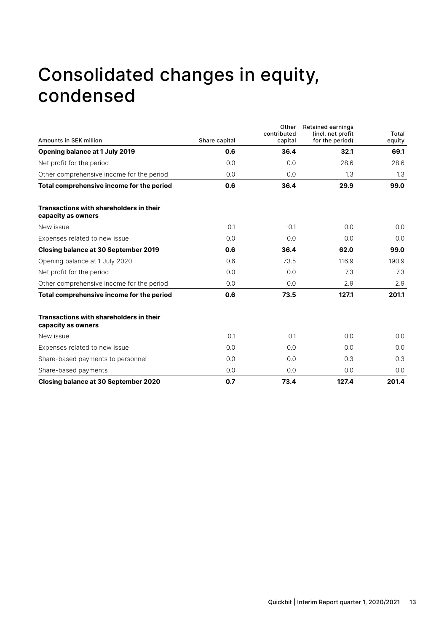# Consolidated changes in equity, condensed

|                                                                      |               | Other<br>contributed | <b>Retained earnings</b><br>(incl. net profit | Total  |
|----------------------------------------------------------------------|---------------|----------------------|-----------------------------------------------|--------|
| Amounts in SEK million                                               | Share capital | capital              | for the period)                               | equity |
| Opening balance at 1 July 2019                                       | 0.6           | 36.4                 | 32.1                                          | 69.1   |
| Net profit for the period                                            | 0.0           | 0.0                  | 28.6                                          | 28.6   |
| Other comprehensive income for the period                            | 0.0           | 0.0                  | 1.3                                           | 1.3    |
| Total comprehensive income for the period                            | 0.6           | 36.4                 | 29.9                                          | 99.0   |
| <b>Transactions with shareholders in their</b><br>capacity as owners |               |                      |                                               |        |
| New issue                                                            | 0.1           | $-0.1$               | 0.0                                           | 0.0    |
| Expenses related to new issue                                        | 0.0           | 0.0                  | 0.0                                           | 0.0    |
| Closing balance at 30 September 2019                                 | 0.6           | 36.4                 | 62.0                                          | 99.0   |
| Opening balance at 1 July 2020                                       | 0.6           | 73.5                 | 116.9                                         | 190.9  |
| Net profit for the period                                            | 0.0           | 0.0                  | 7.3                                           | 7.3    |
| Other comprehensive income for the period                            | 0.0           | 0.0                  | 2.9                                           | 2.9    |
| Total comprehensive income for the period                            | 0.6           | 73.5                 | 127.1                                         | 201.1  |
| <b>Transactions with shareholders in their</b><br>capacity as owners |               |                      |                                               |        |
| New issue                                                            | 0.1           | $-0.1$               | 0.0                                           | 0.0    |
| Expenses related to new issue                                        | 0.0           | 0.0                  | 0.0                                           | 0.0    |
| Share-based payments to personnel                                    | 0.0           | 0.0                  | 0.3                                           | 0.3    |
| Share-based payments                                                 | 0.0           | 0.0                  | 0.0                                           | 0.0    |
| <b>Closing balance at 30 September 2020</b>                          | 0.7           | 73.4                 | 127.4                                         | 201.4  |
|                                                                      |               |                      |                                               |        |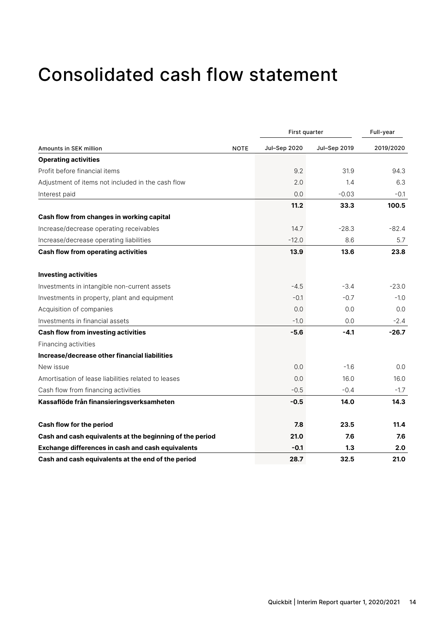# Consolidated cash flow statement

|                                                          |             | First quarter |              | Full-year |  |
|----------------------------------------------------------|-------------|---------------|--------------|-----------|--|
| <b>Amounts in SEK million</b>                            | <b>NOTE</b> | Jul-Sep 2020  | Jul-Sep 2019 | 2019/2020 |  |
| <b>Operating activities</b>                              |             |               |              |           |  |
| Profit before financial items                            |             | 9.2           | 31.9         | 94.3      |  |
| Adjustment of items not included in the cash flow        |             | 2.0           | 1.4          | 6.3       |  |
| Interest paid                                            |             | 0.0           | $-0.03$      | $-0.1$    |  |
|                                                          |             | 11.2          | 33.3         | 100.5     |  |
| Cash flow from changes in working capital                |             |               |              |           |  |
| Increase/decrease operating receivables                  |             | 14.7          | $-28.3$      | $-82.4$   |  |
| Increase/decrease operating liabilities                  |             | $-12.0$       | 8.6          | 5.7       |  |
| <b>Cash flow from operating activities</b>               |             | 13.9          | 13.6         | 23.8      |  |
| <b>Investing activities</b>                              |             |               |              |           |  |
| Investments in intangible non-current assets             |             | $-4.5$        | $-3.4$       | $-23.0$   |  |
| Investments in property, plant and equipment             |             | $-0.1$        | $-0.7$       | $-1.0$    |  |
| Acquisition of companies                                 |             | 0.0           | 0.0          | 0.0       |  |
| Investments in financial assets                          |             | $-1.0$        | 0.0          | $-2.4$    |  |
| <b>Cash flow from investing activities</b>               |             | $-5.6$        | $-4.1$       | $-26.7$   |  |
| Financing activities                                     |             |               |              |           |  |
| Increase/decrease other financial liabilities            |             |               |              |           |  |
| New issue                                                |             | 0.0           | $-1.6$       | 0.0       |  |
| Amortisation of lease liabilities related to leases      |             | 0.0           | 16.0         | 16.0      |  |
| Cash flow from financing activities                      |             | $-0.5$        | $-0.4$       | $-1.7$    |  |
| Kassaflöde från finansieringsverksamheten                |             | $-0.5$        | 14.0         | 14.3      |  |
| Cash flow for the period                                 |             | 7.8           | 23.5         | 11.4      |  |
| Cash and cash equivalents at the beginning of the period |             | 21.0          | 7.6          | 7.6       |  |
| <b>Exchange differences in cash and cash equivalents</b> |             | $-0.1$        | 1.3          | 2.0       |  |
| Cash and cash equivalents at the end of the period       |             | 28.7          | 32.5         | 21.0      |  |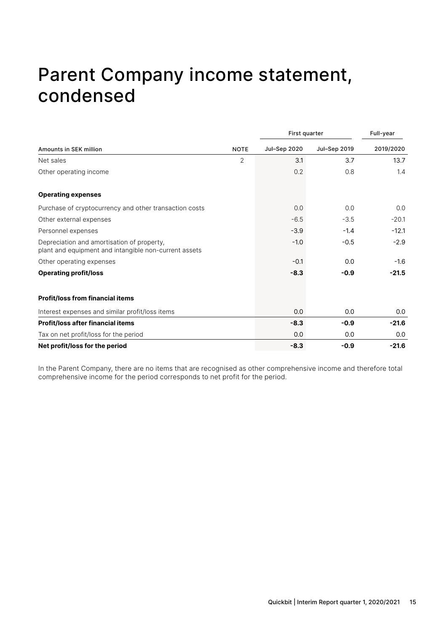# Parent Company income statement, condensed

|                                                                                                     |                | First quarter |              | Full-year |  |
|-----------------------------------------------------------------------------------------------------|----------------|---------------|--------------|-----------|--|
| <b>Amounts in SEK million</b>                                                                       | <b>NOTE</b>    | Jul-Sep 2020  | Jul-Sep 2019 | 2019/2020 |  |
| Net sales                                                                                           | $\overline{2}$ | 3.1           | 3.7          | 13.7      |  |
| Other operating income                                                                              |                | 0.2           | 0.8          | 1.4       |  |
| <b>Operating expenses</b>                                                                           |                |               |              |           |  |
| Purchase of cryptocurrency and other transaction costs                                              |                | 0.0           | 0.0          | 0.0       |  |
| Other external expenses                                                                             |                | $-6.5$        | $-3.5$       | $-20.1$   |  |
| Personnel expenses                                                                                  |                | $-3.9$        | $-1.4$       | $-12.1$   |  |
| Depreciation and amortisation of property,<br>plant and equipment and intangible non-current assets |                | $-1.0$        | $-0.5$       | $-2.9$    |  |
| Other operating expenses                                                                            |                | $-0.1$        | 0.0          | $-1.6$    |  |
| <b>Operating profit/loss</b>                                                                        |                | $-8.3$        | $-0.9$       | $-21.5$   |  |
| <b>Profit/loss from financial items</b>                                                             |                |               |              |           |  |
| Interest expenses and similar profit/loss items                                                     |                | 0.0           | 0.0          | 0.0       |  |
| <b>Profit/loss after financial items</b>                                                            |                | $-8.3$        | $-0.9$       | $-21.6$   |  |
| Tax on net profit/loss for the period                                                               |                | 0.0           | 0.0          | 0.0       |  |
| Net profit/loss for the period                                                                      |                | $-8.3$        | $-0.9$       | $-21.6$   |  |

In the Parent Company, there are no items that are recognised as other comprehensive income and therefore total comprehensive income for the period corresponds to net profit for the period.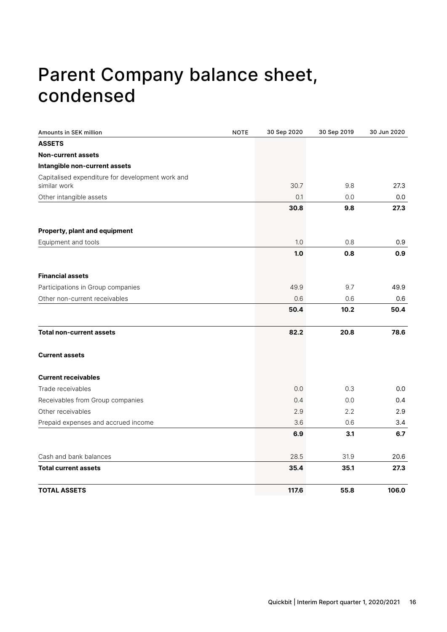# Parent Company balance sheet, condensed

| Amounts in SEK million                                           | <b>NOTE</b> | 30 Sep 2020 | 30 Sep 2019 | 30 Jun 2020 |
|------------------------------------------------------------------|-------------|-------------|-------------|-------------|
| <b>ASSETS</b>                                                    |             |             |             |             |
| <b>Non-current assets</b>                                        |             |             |             |             |
| Intangible non-current assets                                    |             |             |             |             |
| Capitalised expenditure for development work and<br>similar work |             | 30.7        | 9.8         | 27.3        |
| Other intangible assets                                          |             | 0.1         | 0.0         | 0.0         |
|                                                                  |             | 30.8        | 9.8         | 27.3        |
| Property, plant and equipment                                    |             |             |             |             |
| Equipment and tools                                              |             | 1.0         | 0.8         | 0.9         |
|                                                                  |             | 1.0         | 0.8         | 0.9         |
| <b>Financial assets</b>                                          |             |             |             |             |
| Participations in Group companies                                |             | 49.9        | 9.7         | 49.9        |
| Other non-current receivables                                    |             | 0.6         | 0.6         | 0.6         |
|                                                                  |             | 50.4        | 10.2        | 50.4        |
| <b>Total non-current assets</b>                                  |             | 82.2        | 20.8        | 78.6        |
| <b>Current assets</b>                                            |             |             |             |             |
| <b>Current receivables</b>                                       |             |             |             |             |
| Trade receivables                                                |             | 0.0         | 0.3         | 0.0         |
| Receivables from Group companies                                 |             | 0.4         | 0.0         | 0.4         |
| Other receivables                                                |             | 2.9         | 2.2         | 2.9         |
| Prepaid expenses and accrued income                              |             | 3.6         | 0.6         | 3.4         |
|                                                                  |             | 6.9         | 3.1         | 6.7         |
| Cash and bank balances                                           |             | 28.5        | 31.9        | 20.6        |
| <b>Total current assets</b>                                      |             | 35.4        | 35.1        | 27.3        |
| <b>TOTAL ASSETS</b>                                              |             | 117.6       | 55.8        | 106.0       |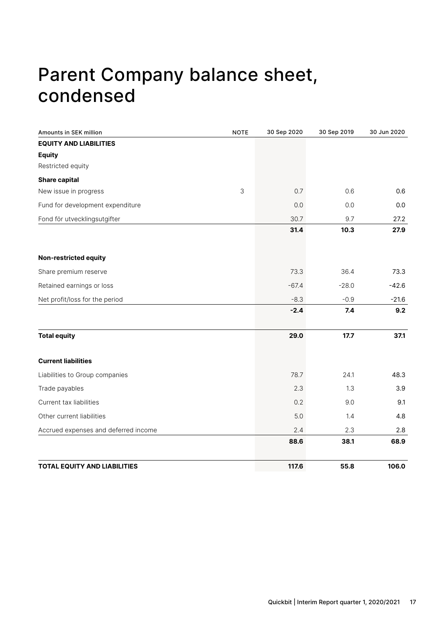# Parent Company balance sheet, condensed

| <b>Amounts in SEK million</b>        | <b>NOTE</b> | 30 Sep 2020 | 30 Sep 2019 | 30 Jun 2020 |
|--------------------------------------|-------------|-------------|-------------|-------------|
| <b>EQUITY AND LIABILITIES</b>        |             |             |             |             |
| <b>Equity</b>                        |             |             |             |             |
| Restricted equity                    |             |             |             |             |
| <b>Share capital</b>                 |             |             |             |             |
| New issue in progress                | 3           | 0.7         | 0.6         | 0.6         |
| Fund for development expenditure     |             | 0.0         | 0.0         | 0.0         |
| Fond för utvecklingsutgifter         |             | 30.7        | 9.7         | 27.2        |
|                                      |             | 31.4        | 10.3        | 27.9        |
| <b>Non-restricted equity</b>         |             |             |             |             |
| Share premium reserve                |             | 73.3        | 36.4        | 73.3        |
| Retained earnings or loss            |             | $-67.4$     | $-28.0$     | $-42.6$     |
| Net profit/loss for the period       |             | $-8.3$      | $-0.9$      | $-21.6$     |
|                                      |             | $-2.4$      | 7.4         | 9.2         |
| <b>Total equity</b>                  |             | 29.0        | 17.7        | 37.1        |
| <b>Current liabilities</b>           |             |             |             |             |
| Liabilities to Group companies       |             | 78.7        | 24.1        | 48.3        |
| Trade payables                       |             | 2.3         | 1.3         | 3.9         |
| Current tax liabilities              |             | 0.2         | 9.0         | 9.1         |
| Other current liabilities            |             | 5.0         | 1.4         | 4.8         |
| Accrued expenses and deferred income |             | 2.4         | 2.3         | 2.8         |
|                                      |             | 88.6        | 38.1        | 68.9        |
| <b>TOTAL EQUITY AND LIABILITIES</b>  |             | 117.6       | 55.8        | 106.0       |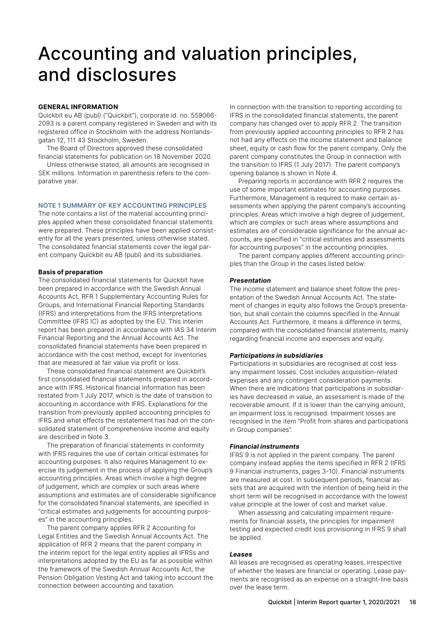# Accounting and valuation principles, and disclosures

#### **GENERAL INFORMATION**

Quickbit eu AB (publ) ("Quickbit"), corporate id. no. 559066- 2093 is a parent company registered in Sweden and with its registered office in Stockholm with the address Norrlandsgatan 12, 111 43 Stockholm, Sweden.

The Board of Directors approved these consolidated financial statements for publication on 18 November 2020.

Unless otherwise stated, all amounts are recognised in SEK millions. Information in parenthesis refers to the comparative year.

#### **NOTE 1 SUMMARY OF KEY ACCOUNTING PRINCIPLES**

The note contains a list of the material accounting principles applied when these consolidated financial statements were prepared. These principles have been applied consistently for all the years presented, unless otherwise stated. The consolidated financial statements cover the legal parent company Quickbit eu AB (publ) and its subsidiaries.

#### **Basis of preparation**

The consolidated financial statements for Quickbit have been prepared in accordance with the Swedish Annual Accounts Act, RFR 1 Supplementary Accounting Rules for Groups, and International Financial Reporting Standards (IFRS) and interpretations from the IFRS Interpretations Committee (IFRS IC) as adopted by the EU. This interim report has been prepared in accordance with IAS 34 Interim Financial Reporting and the Annual Accounts Act. The consolidated financial statements have been prepared in accordance with the cost method, except for inventories that are measured at fair value via profit or loss.

These consolidated financial statement are Quickbit's first consolidated financial statements prepared in accordance with IFRS. Historical financial information has been restated from 1 July 2017, which is the date of transition to accounting in accordance with IFRS. Explanations for the transition from previously applied accounting principles to IFRS and what effects the restatement has had on the consolidated statement of comprehensive income and equity are described in Note 3.

The preparation of financial statements in conformity with IFRS requires the use of certain critical estimates for accounting purposes. It also requires Management to exercise its judgement in the process of applying the Group's accounting principles. Areas which involve a high degree of judgement, which are complex or such areas where assumptions and estimates are of considerable significance for the consolidated financial statements, are specified in "critical estimates and judgements for accounting purposes" in the accounting principles.

The parent company applies RFR 2 Accounting for Legal Entities and the Swedish Annual Accounts Act. The application of RFR 2 means that the parent company in the interim report for the legal entity applies all IFRSs and interpretations adopted by the EU as far as possible within the framework of the Swedish Annual Accounts Act, the Pension Obligation Vesting Act and taking into account the connection between accounting and taxation.

In connection with the transition to reporting according to IFRS in the consolidated financial statements, the parent company has changed over to apply RFR 2. The transition from previously applied accounting principles to RFR 2 has not had any effects on the income statement and balance sheet, equity or cash flow for the parent company. Only the parent company constitutes the Group in connection with the transition to IFRS (1 July 2017). The parent company's opening balance is shown in Note 4.

Preparing reports in accordance with RFR 2 requires the use of some important estimates for accounting purposes. Furthermore, Management is required to make certain assessments when applying the parent company's accounting principles. Areas which involve a high degree of judgement, which are complex or such areas where assumptions and estimates are of considerable significance for the annual accounts, are specified in "critical estimates and assessments for accounting purposes" in the accounting principles.

The parent company applies different accounting principles than the Group in the cases listed below:

#### *Presentation*

The income statement and balance sheet follow the presentation of the Swedish Annual Accounts Act. The statement of changes in equity also follows the Group's presentation, but shall contain the columns specified in the Annual Accounts Act. Furthermore, it means a difference in terms, compared with the consolidated financial statements, mainly regarding financial income and expenses and equity.

#### *Participations in subsidiaries*

Participations in subsidiaries are recognised at cost less any impairment losses. Cost includes acquisition-related expenses and any contingent consideration payments. When there are indications that participations in subsidiaries have decreased in value, an assessment is made of the recoverable amount. If it is lower than the carrying amount, an impairment loss is recognised. Impairment losses are recognised in the item "Profit from shares and participations in Group companies".

#### *Financial instruments*

IFRS 9 is not applied in the parent company. The parent company instead applies the items specified in RFR 2 (IFRS 9 Financial instruments, pages 3-10). Financial instruments are measured at cost. In subsequent periods, financial assets that are acquired with the intention of being held in the short term will be recognised in accordance with the lowest value principle at the lower of cost and market value.

When assessing and calculating impairment requirements for financial assets, the principles for impairment testing and expected credit loss provisioning in IFRS 9 shall be applied.

#### *Leases*

All leases are recognised as operating leases, irrespective of whether the leases are financial or operating. Lease payments are recognised as an expense on a straight-line basis over the lease term.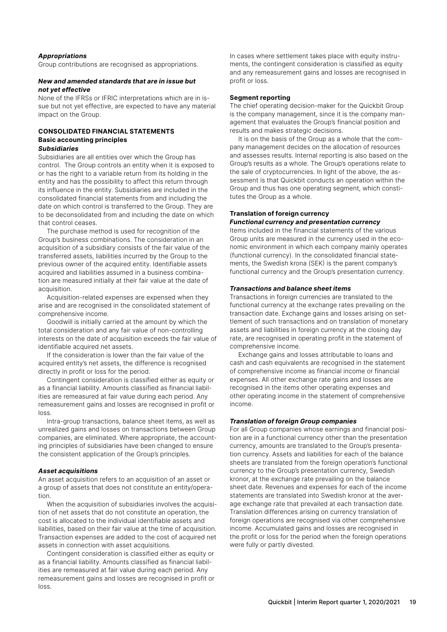#### *Appropriations*

Group contributions are recognised as appropriations.

#### *New and amended standards that are in issue but not yet effective*

None of the IFRSs or IFRIC interpretations which are in issue but not yet effective, are expected to have any material impact on the Group.

#### **CONSOLIDATED FINANCIAL STATEMENTS Basic accounting principles**  *Subsidiaries*

Subsidiaries are all entities over which the Group has control. The Group controls an entity when it is exposed to or has the right to a variable return from its holding in the entity and has the possibility to affect this return through its influence in the entity. Subsidiaries are included in the consolidated financial statements from and including the date on which control is transferred to the Group. They are to be deconsolidated from and including the date on which that control ceases.

The purchase method is used for recognition of the Group's business combinations. The consideration in an acquisition of a subsidiary consists of the fair value of the transferred assets, liabilities incurred by the Group to the previous owner of the acquired entity. Identifiable assets acquired and liabilities assumed in a business combination are measured initially at their fair value at the date of acquisition.

Acquisition-related expenses are expensed when they arise and are recognised in the consolidated statement of comprehensive income.

Goodwill is initially carried at the amount by which the total consideration and any fair value of non-controlling interests on the date of acquisition exceeds the fair value of identifiable acquired net assets.

If the consideration is lower than the fair value of the acquired entity's net assets, the difference is recognised directly in profit or loss for the period.

Contingent consideration is classified either as equity or as a financial liability. Amounts classified as financial liabilities are remeasured at fair value during each period. Any remeasurement gains and losses are recognised in profit or loss.

Intra-group transactions, balance sheet items, as well as unrealized gains and losses on transactions between Group companies, are eliminated. Where appropriate, the accounting principles of subsidiaries have been changed to ensure the consistent application of the Group's principles.

#### *Asset acquisitions*

An asset acquisition refers to an acquisition of an asset or a group of assets that does not constitute an entity/operation.

When the acquisition of subsidiaries involves the acquisition of net assets that do not constitute an operation, the cost is allocated to the individual identifiable assets and liabilities, based on their fair value at the time of acquisition. Transaction expenses are added to the cost of acquired net assets in connection with asset acquisitions.

Contingent consideration is classified either as equity or as a financial liability. Amounts classified as financial liabilities are remeasured at fair value during each period. Any remeasurement gains and losses are recognised in profit or loss.

In cases where settlement takes place with equity instruments, the contingent consideration is classified as equity and any remeasurement gains and losses are recognised in profit or loss.

#### **Segment reporting**

The chief operating decision-maker for the Quickbit Group is the company management, since it is the company management that evaluates the Group's financial position and results and makes strategic decisions.

It is on the basis of the Group as a whole that the company management decides on the allocation of resources and assesses results. Internal reporting is also based on the Group's results as a whole. The Group's operations relate to the sale of cryptocurrencies. In light of the above, the assessment is that Quickbit conducts an operation within the Group and thus has one operating segment, which constitutes the Group as a whole.

### **Translation of foreign currency**

#### *Functional currency and presentation currency*

Items included in the financial statements of the various Group units are measured in the currency used in the economic environment in which each company mainly operates (functional currency). In the consolidated financial statements, the Swedish krona (SEK) is the parent company's functional currency and the Group's presentation currency.

#### *Transactions and balance sheet items*

Transactions in foreign currencies are translated to the functional currency at the exchange rates prevailing on the transaction date. Exchange gains and losses arising on settlement of such transactions and on translation of monetary assets and liabilities in foreign currency at the closing day rate, are recognised in operating profit in the statement of comprehensive income.

Exchange gains and losses attributable to loans and cash and cash equivalents are recognised in the statement of comprehensive income as financial income or financial expenses. All other exchange rate gains and losses are recognised in the items other operating expenses and other operating income in the statement of comprehensive income.

#### *Translation of foreign Group companies*

For all Group companies whose earnings and financial position are in a functional currency other than the presentation currency, amounts are translated to the Group's presentation currency. Assets and liabilities for each of the balance sheets are translated from the foreign operation's functional currency to the Group's presentation currency, Swedish kronor, at the exchange rate prevailing on the balance sheet date. Revenues and expenses for each of the income statements are translated into Swedish kronor at the average exchange rate that prevailed at each transaction date. Translation differences arising on currency translation of foreign operations are recognised via other comprehensive income. Accumulated gains and losses are recognised in the profit or loss for the period when the foreign operations were fully or partly divested.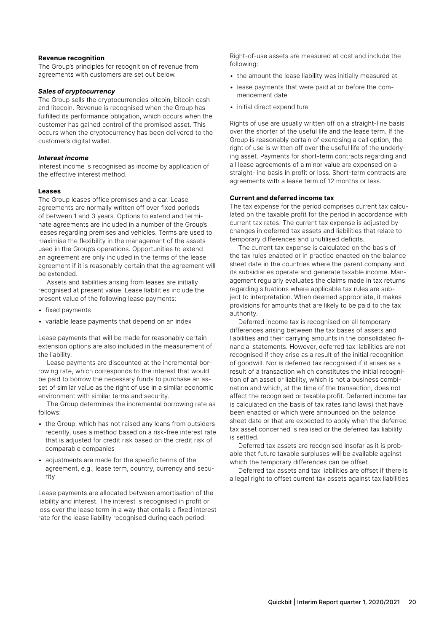#### **Revenue recognition**

The Group's principles for recognition of revenue from agreements with customers are set out below.

#### *Sales of cryptocurrency*

The Group sells the cryptocurrencies bitcoin, bitcoin cash and litecoin. Revenue is recognised when the Group has fulfilled its performance obligation, which occurs when the customer has gained control of the promised asset. This occurs when the cryptocurrency has been delivered to the customer's digital wallet.

#### *Interest income*

Interest income is recognised as income by application of the effective interest method.

#### **Leases**

The Group leases office premises and a car. Lease agreements are normally written off over fixed periods of between 1 and 3 years. Options to extend and terminate agreements are included in a number of the Group's leases regarding premises and vehicles. Terms are used to maximise the flexibility in the management of the assets used in the Group's operations. Opportunities to extend an agreement are only included in the terms of the lease agreement if it is reasonably certain that the agreement will be extended.

Assets and liabilities arising from leases are initially recognised at present value. Lease liabilities include the present value of the following lease payments:

- fixed payments
- variable lease payments that depend on an index

Lease payments that will be made for reasonably certain extension options are also included in the measurement of the liability.

Lease payments are discounted at the incremental borrowing rate, which corresponds to the interest that would be paid to borrow the necessary funds to purchase an asset of similar value as the right of use in a similar economic environment with similar terms and security.

The Group determines the incremental borrowing rate as follows:

- the Group, which has not raised any loans from outsiders recently, uses a method based on a risk-free interest rate that is adjusted for credit risk based on the credit risk of comparable companies
- adjustments are made for the specific terms of the agreement, e.g., lease term, country, currency and security

Lease payments are allocated between amortisation of the liability and interest. The interest is recognised in profit or loss over the lease term in a way that entails a fixed interest rate for the lease liability recognised during each period.

Right-of-use assets are measured at cost and include the following:

- the amount the lease liability was initially measured at
- lease payments that were paid at or before the commencement date
- initial direct expenditure

Rights of use are usually written off on a straight-line basis over the shorter of the useful life and the lease term. If the Group is reasonably certain of exercising a call option, the right of use is written off over the useful life of the underlying asset. Payments for short-term contracts regarding and all lease agreements of a minor value are expensed on a straight-line basis in profit or loss. Short-term contracts are agreements with a lease term of 12 months or less.

#### **Current and deferred income tax**

The tax expense for the period comprises current tax calculated on the taxable profit for the period in accordance with current tax rates. The current tax expense is adjusted by changes in deferred tax assets and liabilities that relate to temporary differences and unutilised deficits.

The current tax expense is calculated on the basis of the tax rules enacted or in practice enacted on the balance sheet date in the countries where the parent company and its subsidiaries operate and generate taxable income. Management regularly evaluates the claims made in tax returns regarding situations where applicable tax rules are subject to interpretation. When deemed appropriate, it makes provisions for amounts that are likely to be paid to the tax authority.

Deferred income tax is recognised on all temporary differences arising between the tax bases of assets and liabilities and their carrying amounts in the consolidated financial statements. However, deferred tax liabilities are not recognised if they arise as a result of the initial recognition of goodwill. Nor is deferred tax recognised if it arises as a result of a transaction which constitutes the initial recognition of an asset or liability, which is not a business combination and which, at the time of the transaction, does not affect the recognised or taxable profit. Deferred income tax is calculated on the basis of tax rates (and laws) that have been enacted or which were announced on the balance sheet date or that are expected to apply when the deferred tax asset concerned is realised or the deferred tax liability is settled.

Deferred tax assets are recognised insofar as it is probable that future taxable surpluses will be available against which the temporary differences can be offset.

Deferred tax assets and tax liabilities are offset if there is a legal right to offset current tax assets against tax liabilities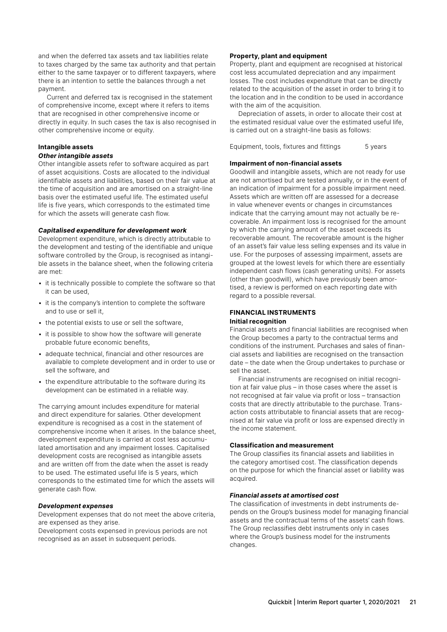and when the deferred tax assets and tax liabilities relate to taxes charged by the same tax authority and that pertain either to the same taxpayer or to different taxpayers, where there is an intention to settle the balances through a net payment.

Current and deferred tax is recognised in the statement of comprehensive income, except where it refers to items that are recognised in other comprehensive income or directly in equity. In such cases the tax is also recognised in other comprehensive income or equity.

### **Intangible assets**

#### *Other intangible assets*

Other intangible assets refer to software acquired as part of asset acquisitions. Costs are allocated to the individual identifiable assets and liabilities, based on their fair value at the time of acquisition and are amortised on a straight-line basis over the estimated useful life. The estimated useful life is five years, which corresponds to the estimated time for which the assets will generate cash flow.

#### *Capitalised expenditure for development work*

Development expenditure, which is directly attributable to the development and testing of the identifiable and unique software controlled by the Group, is recognised as intangible assets in the balance sheet, when the following criteria are met:

- it is technically possible to complete the software so that it can be used,
- it is the company's intention to complete the software and to use or sell it,
- the potential exists to use or sell the software,
- it is possible to show how the software will generate probable future economic benefits,
- adequate technical, financial and other resources are available to complete development and in order to use or sell the software, and
- the expenditure attributable to the software during its development can be estimated in a reliable way.

The carrying amount includes expenditure for material and direct expenditure for salaries. Other development expenditure is recognised as a cost in the statement of comprehensive income when it arises. In the balance sheet, development expenditure is carried at cost less accumulated amortisation and any impairment losses. Capitalised development costs are recognised as intangible assets and are written off from the date when the asset is ready to be used. The estimated useful life is 5 years, which corresponds to the estimated time for which the assets will generate cash flow.

#### *Development expenses*

Development expenses that do not meet the above criteria, are expensed as they arise.

Development costs expensed in previous periods are not recognised as an asset in subsequent periods.

#### **Property, plant and equipment**

Property, plant and equipment are recognised at historical cost less accumulated depreciation and any impairment losses. The cost includes expenditure that can be directly related to the acquisition of the asset in order to bring it to the location and in the condition to be used in accordance with the aim of the acquisition.

Depreciation of assets, in order to allocate their cost at the estimated residual value over the estimated useful life, is carried out on a straight-line basis as follows:

Equipment, tools, fixtures and fittings 5 years

#### **Impairment of non-financial assets**

Goodwill and intangible assets, which are not ready for use are not amortised but are tested annually, or in the event of an indication of impairment for a possible impairment need. Assets which are written off are assessed for a decrease in value whenever events or changes in circumstances indicate that the carrying amount may not actually be recoverable. An impairment loss is recognised for the amount by which the carrying amount of the asset exceeds its recoverable amount. The recoverable amount is the higher of an asset's fair value less selling expenses and its value in use. For the purposes of assessing impairment, assets are grouped at the lowest levels for which there are essentially independent cash flows (cash generating units). For assets (other than goodwill), which have previously been amortised, a review is performed on each reporting date with regard to a possible reversal.

#### **FINANCIAL INSTRUMENTS Initial recognition**

Financial assets and financial liabilities are recognised when the Group becomes a party to the contractual terms and conditions of the instrument. Purchases and sales of financial assets and liabilities are recognised on the transaction date – the date when the Group undertakes to purchase or sell the asset.

Financial instruments are recognised on initial recognition at fair value plus – in those cases where the asset is not recognised at fair value via profit or loss – transaction costs that are directly attributable to the purchase. Transaction costs attributable to financial assets that are recognised at fair value via profit or loss are expensed directly in the income statement.

#### **Classification and measurement**

The Group classifies its financial assets and liabilities in the category amortised cost. The classification depends on the purpose for which the financial asset or liability was acquired.

#### *Financial assets at amortised cost*

The classification of investments in debt instruments depends on the Group's business model for managing financial assets and the contractual terms of the assets' cash flows. The Group reclassifies debt instruments only in cases where the Group's business model for the instruments changes.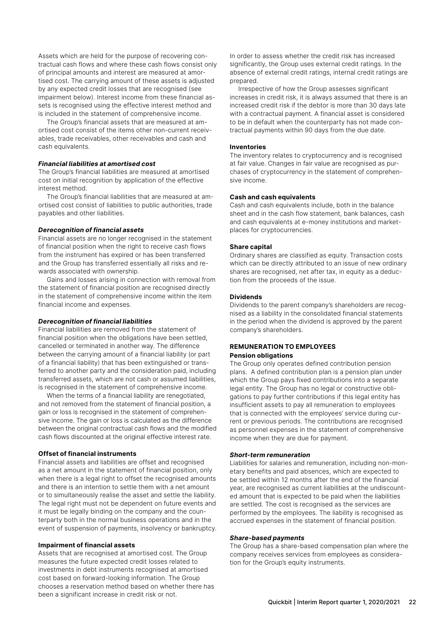Assets which are held for the purpose of recovering contractual cash flows and where these cash flows consist only of principal amounts and interest are measured at amortised cost. The carrying amount of these assets is adjusted by any expected credit losses that are recognised (see impairment below). Interest income from these financial assets is recognised using the effective interest method and is included in the statement of comprehensive income.

The Group's financial assets that are measured at amortised cost consist of the items other non-current receivables, trade receivables, other receivables and cash and cash equivalents.

#### *Financial liabilities at amortised cost*

The Group's financial liabilities are measured at amortised cost on initial recognition by application of the effective interest method.

The Group's financial liabilities that are measured at amortised cost consist of liabilities to public authorities, trade payables and other liabilities.

#### *Derecognition of financial assets*

Financial assets are no longer recognised in the statement of financial position when the right to receive cash flows from the instrument has expired or has been transferred and the Group has transferred essentially all risks and rewards associated with ownership.

Gains and losses arising in connection with removal from the statement of financial position are recognised directly in the statement of comprehensive income within the item financial income and expenses.

#### *Derecognition of financial liabilities*

Financial liabilities are removed from the statement of financial position when the obligations have been settled, cancelled or terminated in another way. The difference between the carrying amount of a financial liability (or part of a financial liability) that has been extinguished or transferred to another party and the consideration paid, including transferred assets, which are not cash or assumed liabilities, is recognised in the statement of comprehensive income.

When the terms of a financial liability are renegotiated, and not removed from the statement of financial position, a gain or loss is recognised in the statement of comprehensive income. The gain or loss is calculated as the difference between the original contractual cash flows and the modified cash flows discounted at the original effective interest rate.

#### **Offset of financial instruments**

Financial assets and liabilities are offset and recognised as a net amount in the statement of financial position, only when there is a legal right to offset the recognised amounts and there is an intention to settle them with a net amount or to simultaneously realise the asset and settle the liability. The legal right must not be dependent on future events and it must be legally binding on the company and the counterparty both in the normal business operations and in the event of suspension of payments, insolvency or bankruptcy.

#### **Impairment of financial assets**

Assets that are recognised at amortised cost. The Group measures the future expected credit losses related to investments in debt instruments recognised at amortised cost based on forward-looking information. The Group chooses a reservation method based on whether there has been a significant increase in credit risk or not.

In order to assess whether the credit risk has increased significantly, the Group uses external credit ratings. In the absence of external credit ratings, internal credit ratings are prepared.

Irrespective of how the Group assesses significant increases in credit risk, it is always assumed that there is an increased credit risk if the debtor is more than 30 days late with a contractual payment. A financial asset is considered to be in default when the counterparty has not made contractual payments within 90 days from the due date.

#### **Inventories**

The inventory relates to cryptocurrency and is recognised at fair value. Changes in fair value are recognised as purchases of cryptocurrency in the statement of comprehensive income.

#### **Cash and cash equivalents**

Cash and cash equivalents include, both in the balance sheet and in the cash flow statement, bank balances, cash and cash equivalents at e-money institutions and marketplaces for cryptocurrencies.

#### **Share capital**

Ordinary shares are classified as equity. Transaction costs which can be directly attributed to an issue of new ordinary shares are recognised, net after tax, in equity as a deduction from the proceeds of the issue.

#### **Dividends**

Dividends to the parent company's shareholders are recognised as a liability in the consolidated financial statements in the period when the dividend is approved by the parent company's shareholders.

#### **REMUNERATION TO EMPLOYEES Pension obligations**

The Group only operates defined contribution pension plans. A defined contribution plan is a pension plan under which the Group pays fixed contributions into a separate legal entity. The Group has no legal or constructive obligations to pay further contributions if this legal entity has insufficient assets to pay all remuneration to employees that is connected with the employees' service during current or previous periods. The contributions are recognised as personnel expenses in the statement of comprehensive income when they are due for payment.

#### *Short-term remuneration*

Liabilities for salaries and remuneration, including non-monetary benefits and paid absences, which are expected to be settled within 12 months after the end of the financial year, are recognised as current liabilities at the undiscounted amount that is expected to be paid when the liabilities are settled. The cost is recognised as the services are performed by the employees. The liability is recognised as accrued expenses in the statement of financial position.

#### *Share-based payments*

The Group has a share-based compensation plan where the company receives services from employees as consideration for the Group's equity instruments.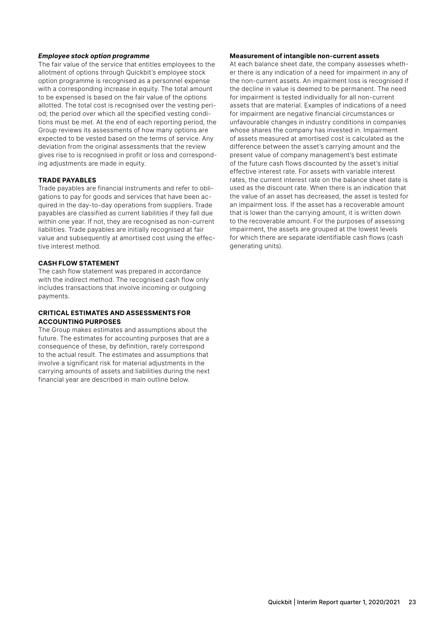#### *Employee stock option programme*

The fair value of the service that entitles employees to the allotment of options through Quickbit's employee stock option programme is recognised as a personnel expense with a corresponding increase in equity. The total amount to be expensed is based on the fair value of the options allotted. The total cost is recognised over the vesting period; the period over which all the specified vesting conditions must be met. At the end of each reporting period, the Group reviews its assessments of how many options are expected to be vested based on the terms of service. Any deviation from the original assessments that the review gives rise to is recognised in profit or loss and corresponding adjustments are made in equity.

#### **TRADE PAYABLES**

Trade payables are financial instruments and refer to obligations to pay for goods and services that have been acquired in the day-to-day operations from suppliers. Trade payables are classified as current liabilities if they fall due within one year. If not, they are recognised as non-current liabilities. Trade payables are initially recognised at fair value and subsequently at amortised cost using the effective interest method.

#### **CASH FLOW STATEMENT**

The cash flow statement was prepared in accordance with the indirect method. The recognised cash flow only includes transactions that involve incoming or outgoing payments.

#### **CRITICAL ESTIMATES AND ASSESSMENTS FOR ACCOUNTING PURPOSES**

The Group makes estimates and assumptions about the future. The estimates for accounting purposes that are a consequence of these, by definition, rarely correspond to the actual result. The estimates and assumptions that involve a significant risk for material adjustments in the carrying amounts of assets and liabilities during the next financial year are described in main outline below.

#### **Measurement of intangible non-current assets**

At each balance sheet date, the company assesses whether there is any indication of a need for impairment in any of the non-current assets. An impairment loss is recognised if the decline in value is deemed to be permanent. The need for impairment is tested individually for all non-current assets that are material. Examples of indications of a need for impairment are negative financial circumstances or unfavourable changes in industry conditions in companies whose shares the company has invested in. Impairment of assets measured at amortised cost is calculated as the difference between the asset's carrying amount and the present value of company management's best estimate of the future cash flows discounted by the asset's initial effective interest rate. For assets with variable interest rates, the current interest rate on the balance sheet date is used as the discount rate. When there is an indication that the value of an asset has decreased, the asset is tested for an impairment loss. If the asset has a recoverable amount that is lower than the carrying amount, it is written down to the recoverable amount. For the purposes of assessing impairment, the assets are grouped at the lowest levels for which there are separate identifiable cash flows (cash generating units).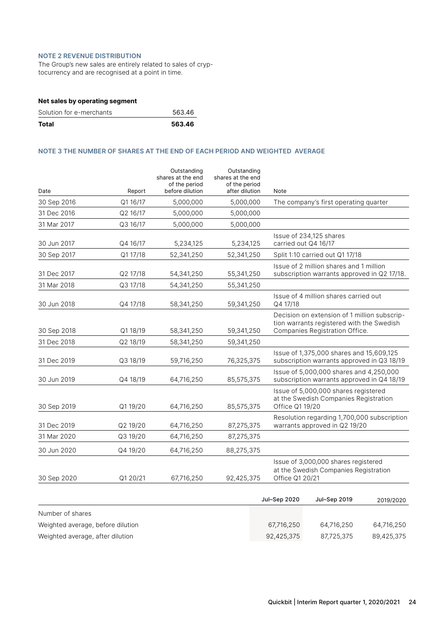#### **NOTE 2 REVENUE DISTRIBUTION**

The Group's new sales are entirely related to sales of cryptocurrency and are recognised at a point in time.

| Total                          | 563.46 |
|--------------------------------|--------|
| Solution for e-merchants       | 563.46 |
| Net sales by operating segment |        |

#### **NOTE 3 THE NUMBER OF SHARES AT THE END OF EACH PERIOD AND WEIGHTED AVERAGE**

| Date             | Report   | Outstanding<br>shares at the end<br>of the period<br>before dilution | Outstanding<br>shares at the end<br>of the period<br>after dilution | Note            |                                                                                                                             |           |
|------------------|----------|----------------------------------------------------------------------|---------------------------------------------------------------------|-----------------|-----------------------------------------------------------------------------------------------------------------------------|-----------|
| 30 Sep 2016      | Q1 16/17 | 5,000,000                                                            | 5,000,000                                                           |                 | The company's first operating quarter                                                                                       |           |
| 31 Dec 2016      | Q2 16/17 | 5,000,000                                                            | 5,000,000                                                           |                 |                                                                                                                             |           |
| 31 Mar 2017      | Q3 16/17 | 5,000,000                                                            | 5,000,000                                                           |                 |                                                                                                                             |           |
| 30 Jun 2017      | Q4 16/17 | 5,234,125                                                            | 5,234,125                                                           |                 | Issue of 234,125 shares<br>carried out Q4 16/17                                                                             |           |
| 30 Sep 2017      | Q1 17/18 | 52,341,250                                                           | 52,341,250                                                          |                 | Split 1:10 carried out Q1 17/18                                                                                             |           |
| 31 Dec 2017      | Q2 17/18 | 54,341,250                                                           | 55,341,250                                                          |                 | Issue of 2 million shares and 1 million<br>subscription warrants approved in Q2 17/18.                                      |           |
| 31 Mar 2018      | Q3 17/18 | 54,341,250                                                           | 55,341,250                                                          |                 |                                                                                                                             |           |
| 30 Jun 2018      | Q4 17/18 | 58,341,250                                                           | 59,341,250                                                          | Q4 17/18        | Issue of 4 million shares carried out                                                                                       |           |
| 30 Sep 2018      | Q1 18/19 | 58,341,250                                                           | 59,341,250                                                          |                 | Decision on extension of 1 million subscrip-<br>tion warrants registered with the Swedish<br>Companies Registration Office. |           |
| 31 Dec 2018      | Q2 18/19 | 58,341,250                                                           | 59,341,250                                                          |                 |                                                                                                                             |           |
| 31 Dec 2019      | Q3 18/19 | 59,716,250                                                           | 76,325,375                                                          |                 | Issue of 1,375,000 shares and 15,609,125<br>subscription warrants approved in Q3 18/19                                      |           |
| 30 Jun 2019      | Q4 18/19 | 64,716,250                                                           | 85,575,375                                                          |                 | Issue of 5,000,000 shares and 4,250,000<br>subscription warrants approved in Q4 18/19                                       |           |
| 30 Sep 2019      | Q119/20  | 64,716,250                                                           | 85,575,375                                                          | Office Q1 19/20 | Issue of 5,000,000 shares registered<br>at the Swedish Companies Registration                                               |           |
| 31 Dec 2019      | Q2 19/20 | 64,716,250                                                           | 87,275,375                                                          |                 | Resolution regarding 1,700,000 subscription<br>warrants approved in Q2 19/20                                                |           |
| 31 Mar 2020      | Q3 19/20 | 64,716,250                                                           | 87,275,375                                                          |                 |                                                                                                                             |           |
| 30 Jun 2020      | Q4 19/20 | 64,716,250                                                           | 88,275,375                                                          |                 |                                                                                                                             |           |
| 30 Sep 2020      | Q1 20/21 | 67,716,250                                                           | 92,425,375                                                          | Office Q1 20/21 | Issue of 3,000,000 shares registered<br>at the Swedish Companies Registration                                               |           |
|                  |          |                                                                      |                                                                     | Jul-Sep 2020    | Jul-Sep 2019                                                                                                                | 2019/2020 |
| Number of shares |          |                                                                      |                                                                     |                 |                                                                                                                             |           |

Weighted average, before dilution 67,716,250 64,716,250 64,716,250

Weighted average, after dilution 92,425,375 87,725,375 89,425,375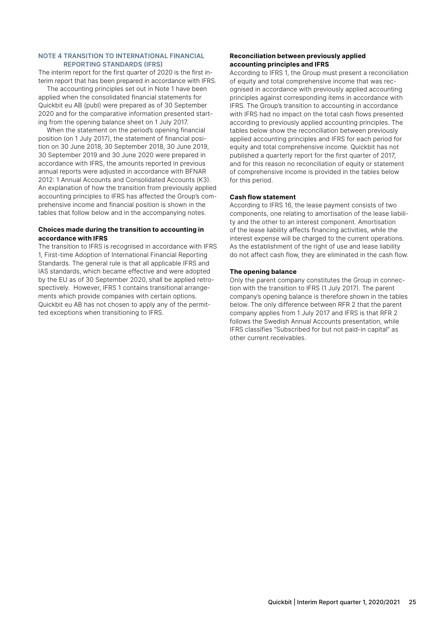#### **NOTE 4 TRANSITION TO INTERNATIONAL FINANCIAL REPORTING STANDARDS (IFRS)**

The interim report for the first quarter of 2020 is the first interim report that has been prepared in accordance with IFRS.

The accounting principles set out in Note 1 have been applied when the consolidated financial statements for Quickbit eu AB (publ) were prepared as of 30 September 2020 and for the comparative information presented starting from the opening balance sheet on 1 July 2017.

When the statement on the period's opening financial position (on 1 July 2017), the statement of financial position on 30 June 2018, 30 September 2018, 30 June 2019, 30 September 2019 and 30 June 2020 were prepared in accordance with IFRS, the amounts reported in previous annual reports were adjusted in accordance with BFNAR 2012: 1 Annual Accounts and Consolidated Accounts (K3). An explanation of how the transition from previously applied accounting principles to IFRS has affected the Group's comprehensive income and financial position is shown in the tables that follow below and in the accompanying notes.

#### **Choices made during the transition to accounting in accordance with IFRS**

The transition to IFRS is recognised in accordance with IFRS 1, First-time Adoption of International Financial Reporting Standards. The general rule is that all applicable IFRS and IAS standards, which became effective and were adopted by the EU as of 30 September 2020, shall be applied retrospectively. However, IFRS 1 contains transitional arrangements which provide companies with certain options. Quickbit eu AB has not chosen to apply any of the permitted exceptions when transitioning to IFRS.

#### **Reconciliation between previously applied accounting principles and IFRS**

According to IFRS 1, the Group must present a reconciliation of equity and total comprehensive income that was recognised in accordance with previously applied accounting principles against corresponding items in accordance with IFRS. The Group's transition to accounting in accordance with IFRS had no impact on the total cash flows presented according to previously applied accounting principles. The tables below show the reconciliation between previously applied accounting principles and IFRS for each period for equity and total comprehensive income. Quickbit has not published a quarterly report for the first quarter of 2017, and for this reason no reconciliation of equity or statement of comprehensive income is provided in the tables below for this period.

#### **Cash flow statement**

According to IFRS 16, the lease payment consists of two components, one relating to amortisation of the lease liability and the other to an interest component. Amortisation of the lease liability affects financing activities, while the interest expense will be charged to the current operations. As the establishment of the right of use and lease liability do not affect cash flow, they are eliminated in the cash flow.

#### **The opening balance**

Only the parent company constitutes the Group in connection with the transition to IFRS (1 July 2017). The parent company's opening balance is therefore shown in the tables below. The only difference between RFR 2 that the parent company applies from 1 July 2017 and IFRS is that RFR 2 follows the Swedish Annual Accounts presentation, while IFRS classifies "Subscribed for but not paid-in capital" as other current receivables.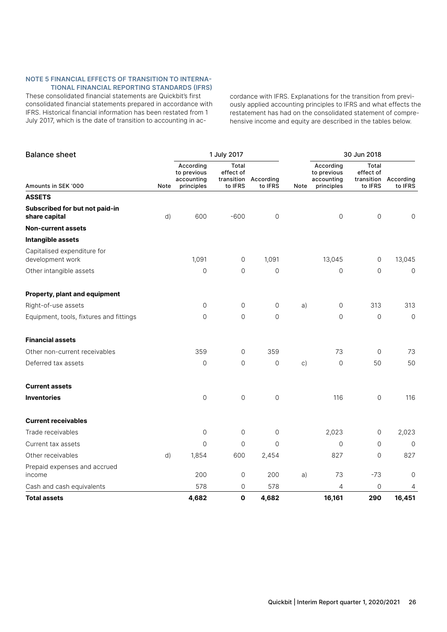#### **NOTE 5 FINANCIAL EFFECTS OF TRANSITION TO INTERNA-TIONAL FINANCIAL REPORTING STANDARDS (IFRS)**

These consolidated financial statements are Quickbit's first consolidated financial statements prepared in accordance with IFRS. Historical financial information has been restated from 1 July 2017, which is the date of transition to accounting in accordance with IFRS. Explanations for the transition from previously applied accounting principles to IFRS and what effects the restatement has had on the consolidated statement of comprehensive income and equity are described in the tables below.

| <b>Balance sheet</b>                            |      |                                                      | 1 July 2017                                 |                      |           | 30 Jun 2018                                          |                                             |                      |
|-------------------------------------------------|------|------------------------------------------------------|---------------------------------------------|----------------------|-----------|------------------------------------------------------|---------------------------------------------|----------------------|
| Amounts in SEK '000                             | Note | According<br>to previous<br>accounting<br>principles | Total<br>effect of<br>transition<br>to IFRS | According<br>to IFRS | Note      | According<br>to previous<br>accounting<br>principles | Total<br>effect of<br>transition<br>to IFRS | According<br>to IFRS |
| <b>ASSETS</b>                                   |      |                                                      |                                             |                      |           |                                                      |                                             |                      |
| Subscribed for but not paid-in<br>share capital | d)   | 600                                                  | $-600$                                      | $\mathsf{O}\xspace$  |           | $\mathsf{O}\xspace$                                  | $\overline{0}$                              | $\mathbf 0$          |
| <b>Non-current assets</b>                       |      |                                                      |                                             |                      |           |                                                      |                                             |                      |
| Intangible assets                               |      |                                                      |                                             |                      |           |                                                      |                                             |                      |
| Capitalised expenditure for<br>development work |      | 1,091                                                | 0                                           | 1,091                |           | 13,045                                               | 0                                           | 13,045               |
| Other intangible assets                         |      | $\mathbf 0$                                          | $\overline{0}$                              | $\overline{0}$       |           | $\overline{0}$                                       | $\overline{0}$                              | $\mathbf 0$          |
| Property, plant and equipment                   |      |                                                      |                                             |                      |           |                                                      |                                             |                      |
| Right-of-use assets                             |      | $\mathsf O$                                          | 0                                           | $\mathsf{O}$         | a)        | 0                                                    | 313                                         | 313                  |
| Equipment, tools, fixtures and fittings         |      | $\mathbf 0$                                          | $\overline{0}$                              | $\mathbf 0$          |           | 0                                                    | 0                                           | $\mathbf 0$          |
| <b>Financial assets</b>                         |      |                                                      |                                             |                      |           |                                                      |                                             |                      |
| Other non-current receivables                   |      | 359                                                  | $\mathbf{O}$                                | 359                  |           | 73                                                   | 0                                           | 73                   |
| Deferred tax assets                             |      | $\overline{0}$                                       | $\overline{0}$                              | $\mathsf{O}\xspace$  | $\circ$ ) | $\mathsf{O}\xspace$                                  | 50                                          | 50                   |
| <b>Current assets</b>                           |      |                                                      |                                             |                      |           |                                                      |                                             |                      |
| <b>Inventories</b>                              |      | $\mathbf 0$                                          | $\mathsf{O}$                                | $\mathsf{O}\xspace$  |           | 116                                                  | $\mathsf{O}\xspace$                         | 116                  |
| <b>Current receivables</b>                      |      |                                                      |                                             |                      |           |                                                      |                                             |                      |
| Trade receivables                               |      | $\mathsf{O}\xspace$                                  | $\mathbf 0$                                 | 0                    |           | 2,023                                                | 0                                           | 2,023                |
| Current tax assets                              |      | $\Omega$                                             | $\Omega$                                    | $\Omega$             |           | $\Omega$                                             | $\Omega$                                    | $\Omega$             |
| Other receivables                               | d)   | 1,854                                                | 600                                         | 2,454                |           | 827                                                  | $\mathbf 0$                                 | 827                  |
| Prepaid expenses and accrued<br>income          |      | 200                                                  | 0                                           | 200                  | a)        | 73                                                   | $-73$                                       | $\mathbf 0$          |
| Cash and cash equivalents                       |      | 578                                                  | 0                                           | 578                  |           | 4                                                    | 0                                           | 4                    |
| <b>Total assets</b>                             |      | 4,682                                                | $\mathbf 0$                                 | 4,682                |           | 16,161                                               | 290                                         | 16,451               |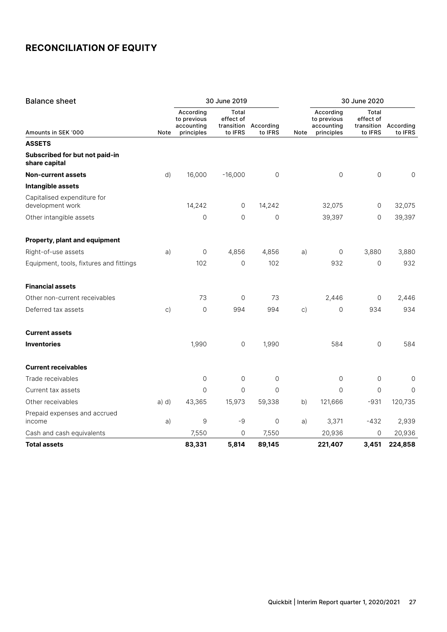| <b>Balance sheet</b>                            |       | 30 June 2019                           |                    |                                 |           | 30 June 2020                           |                    |                      |
|-------------------------------------------------|-------|----------------------------------------|--------------------|---------------------------------|-----------|----------------------------------------|--------------------|----------------------|
|                                                 |       | According<br>to previous<br>accounting | Total<br>effect of | transition According<br>to IFRS |           | According<br>to previous<br>accounting | Total<br>effect of | transition According |
| Amounts in SEK '000<br><b>ASSETS</b>            | Note  | principles                             | to IFRS            |                                 | Note      | principles                             | to IFRS            | to IFRS              |
| Subscribed for but not paid-in<br>share capital |       |                                        |                    |                                 |           |                                        |                    |                      |
| <b>Non-current assets</b>                       | d)    | 16,000                                 | $-16,000$          | 0                               |           | $\overline{0}$                         | $\Omega$           | 0                    |
| Intangible assets                               |       |                                        |                    |                                 |           |                                        |                    |                      |
| Capitalised expenditure for<br>development work |       | 14,242                                 | 0                  | 14,242                          |           | 32,075                                 | $\mathbf 0$        | 32,075               |
| Other intangible assets                         |       | 0                                      | $\overline{0}$     | 0                               |           | 39,397                                 | $\circ$            | 39,397               |
| Property, plant and equipment                   |       |                                        |                    |                                 |           |                                        |                    |                      |
| Right-of-use assets                             | a)    | $\mathbf 0$                            | 4,856              | 4,856                           | a)        | $\circ$                                | 3,880              | 3,880                |
| Equipment, tools, fixtures and fittings         |       | 102                                    | 0                  | 102                             |           | 932                                    | $\mathbf 0$        | 932                  |
| <b>Financial assets</b>                         |       |                                        |                    |                                 |           |                                        |                    |                      |
| Other non-current receivables                   |       | 73                                     | $\mathbf 0$        | 73                              |           | 2,446                                  | 0                  | 2,446                |
| Deferred tax assets                             | C)    | $\mathbf 0$                            | 994                | 994                             | $\circ$ ) | $\mathbf 0$                            | 934                | 934                  |
| <b>Current assets</b>                           |       |                                        |                    |                                 |           |                                        |                    |                      |
| <b>Inventories</b>                              |       | 1,990                                  | 0                  | 1,990                           |           | 584                                    | $\mathbf 0$        | 584                  |
| <b>Current receivables</b>                      |       |                                        |                    |                                 |           |                                        |                    |                      |
| Trade receivables                               |       | $\mathsf{O}\xspace$                    | $\overline{0}$     | 0                               |           | $\mathsf{O}\xspace$                    | $\mathbf 0$        | 0                    |
| Current tax assets                              |       | $\mathbf 0$                            | $\overline{0}$     | 0                               |           | $\mathbf 0$                            | $\mathbf 0$        | $\overline{0}$       |
| Other receivables                               | a) d) | 43,365                                 | 15,973             | 59,338                          | b)        | 121,666                                | $-931$             | 120,735              |
| Prepaid expenses and accrued<br>income          | a)    | 9                                      | -9                 | 0                               | a)        | 3,371                                  | $-432$             | 2,939                |
| Cash and cash equivalents                       |       | 7,550                                  | 0                  | 7,550                           |           | 20,936                                 | 0                  | 20,936               |
| <b>Total assets</b>                             |       | 83,331                                 | 5,814              | 89,145                          |           | 221,407                                | 3,451              | 224,858              |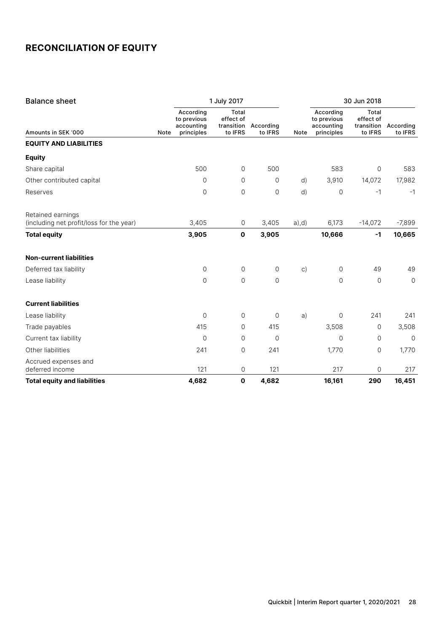| <b>Balance sheet</b>                                          |                                                              | 1 July 2017                                 |                      |           | 30 Jun 2018                                          |                                             |                      |
|---------------------------------------------------------------|--------------------------------------------------------------|---------------------------------------------|----------------------|-----------|------------------------------------------------------|---------------------------------------------|----------------------|
| Amounts in SEK '000                                           | According<br>to previous<br>accounting<br>principles<br>Note | Total<br>effect of<br>transition<br>to IFRS | According<br>to IFRS | Note      | According<br>to previous<br>accounting<br>principles | Total<br>effect of<br>transition<br>to IFRS | According<br>to IFRS |
| <b>EQUITY AND LIABILITIES</b>                                 |                                                              |                                             |                      |           |                                                      |                                             |                      |
| <b>Equity</b>                                                 |                                                              |                                             |                      |           |                                                      |                                             |                      |
| Share capital                                                 | 500                                                          | 0                                           | 500                  |           | 583                                                  | $\circ$                                     | 583                  |
| Other contributed capital                                     |                                                              | $\mathbf 0$<br>$\mathbf 0$                  | $\mathbf 0$          | d)        | 3,910                                                | 14,072                                      | 17,982               |
| Reserves                                                      |                                                              | 0<br>0                                      | 0                    | d)        | $\mathbf 0$                                          | $-1$                                        | $-1$                 |
| Retained earnings<br>(including net profit/loss for the year) | 3,405                                                        | 0                                           | 3,405                | $a)$ ,d)  | 6,173                                                | $-14,072$                                   | $-7,899$             |
| <b>Total equity</b>                                           | 3,905                                                        | $\mathbf 0$                                 | 3,905                |           | 10,666                                               | $-1$                                        | 10,665               |
| <b>Non-current liabilities</b>                                |                                                              |                                             |                      |           |                                                      |                                             |                      |
| Deferred tax liability                                        |                                                              | $\mathsf{O}$<br>0                           | 0                    | $\circ$ ) | 0                                                    | 49                                          | 49                   |
| Lease liability                                               |                                                              | $\mathbf 0$<br>$\overline{0}$               | $\mathsf{O}\xspace$  |           | $\overline{0}$                                       | $\mathbf{0}$                                | $\mathbf 0$          |
| <b>Current liabilities</b>                                    |                                                              |                                             |                      |           |                                                      |                                             |                      |
| Lease liability                                               |                                                              | $\mathbf 0$<br>$\circ$                      | $\mathbf 0$          | a)        | $\mathbf 0$                                          | 241                                         | 241                  |
| Trade payables                                                | 415                                                          | 0                                           | 415                  |           | 3,508                                                | $\mathbf 0$                                 | 3,508                |
| Current tax liability                                         | $\mathbf 0$                                                  | 0                                           | 0                    |           | $\mathbf 0$                                          | $\mathbf{0}$                                | $\mathbf 0$          |
| Other liabilities                                             | 241                                                          | 0                                           | 241                  |           | 1,770                                                | 0                                           | 1,770                |
| Accrued expenses and                                          |                                                              |                                             |                      |           |                                                      |                                             |                      |
| deferred income                                               | 121                                                          | 0                                           | 121                  |           | 217                                                  | 0                                           | 217                  |
| <b>Total equity and liabilities</b>                           | 4,682                                                        | $\mathbf{o}$                                | 4,682                |           | 16,161                                               | 290                                         | 16,451               |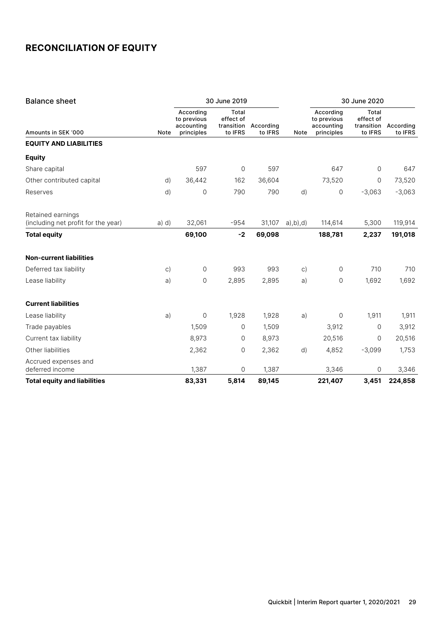| <b>Balance sheet</b>                                     |           | 30 June 2019                                         |                                             |                      |               | 30 June 2020                                         |                                             |                      |
|----------------------------------------------------------|-----------|------------------------------------------------------|---------------------------------------------|----------------------|---------------|------------------------------------------------------|---------------------------------------------|----------------------|
| Amounts in SEK '000                                      | Note      | According<br>to previous<br>accounting<br>principles | Total<br>effect of<br>transition<br>to IFRS | According<br>to IFRS | Note          | According<br>to previous<br>accounting<br>principles | Total<br>effect of<br>transition<br>to IFRS | According<br>to IFRS |
| <b>EQUITY AND LIABILITIES</b>                            |           |                                                      |                                             |                      |               |                                                      |                                             |                      |
| <b>Equity</b>                                            |           |                                                      |                                             |                      |               |                                                      |                                             |                      |
| Share capital                                            |           | 597                                                  | $\circ$                                     | 597                  |               | 647                                                  | $\mathbf{0}$                                | 647                  |
| Other contributed capital                                | d)        | 36,442                                               | 162                                         | 36,604               |               | 73,520                                               | $\circ$                                     | 73,520               |
| Reserves                                                 | d)        | 0                                                    | 790                                         | 790                  | d)            | 0                                                    | $-3,063$                                    | $-3,063$             |
| Retained earnings<br>(including net profit for the year) | a) d)     | 32,061                                               | $-954$                                      | 31,107               | $a)$ , b), d) | 114,614                                              | 5,300                                       | 119,914              |
| <b>Total equity</b>                                      |           | 69,100                                               | $-2$                                        | 69,098               |               | 188,781                                              | 2,237                                       | 191,018              |
| <b>Non-current liabilities</b>                           |           |                                                      |                                             |                      |               |                                                      |                                             |                      |
| Deferred tax liability                                   | $\circ$ ) | $\mathbf 0$                                          | 993                                         | 993                  | $\circ$ )     | 0                                                    | 710                                         | 710                  |
| Lease liability                                          | a)        | 0                                                    | 2,895                                       | 2,895                | a)            | 0                                                    | 1,692                                       | 1,692                |
| <b>Current liabilities</b>                               |           |                                                      |                                             |                      |               |                                                      |                                             |                      |
| Lease liability                                          | a)        | 0                                                    | 1,928                                       | 1,928                | a)            | 0                                                    | 1,911                                       | 1,911                |
| Trade payables                                           |           | 1,509                                                | $\Omega$                                    | 1,509                |               | 3,912                                                | 0                                           | 3,912                |
| Current tax liability                                    |           | 8,973                                                | $\mathbf 0$                                 | 8,973                |               | 20,516                                               | 0                                           | 20,516               |
| Other liabilities                                        |           | 2,362                                                | 0                                           | 2,362                | d)            | 4,852                                                | $-3,099$                                    | 1,753                |
| Accrued expenses and<br>deferred income                  |           | 1,387                                                | 0                                           | 1,387                |               | 3,346                                                | 0                                           | 3,346                |
| <b>Total equity and liabilities</b>                      |           | 83,331                                               | 5,814                                       | 89,145               |               | 221,407                                              | 3,451                                       | 224,858              |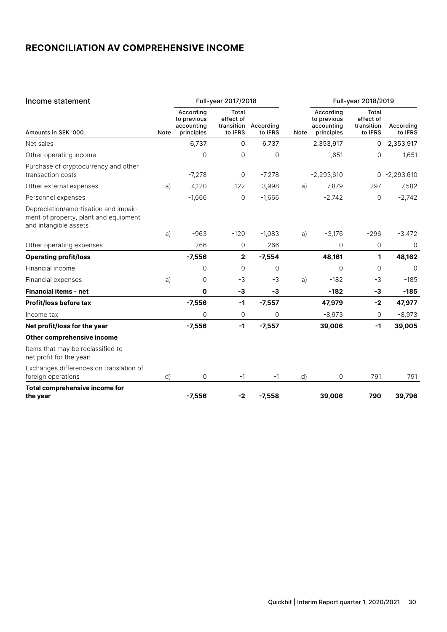### **RECONCILIATION AV COMPREHENSIVE INCOME**

| Income statement                                                                                        |      | Full-year 2017/2018                                  |                                             |                      |      | Full-year 2018/2019                                  |                                             |                      |
|---------------------------------------------------------------------------------------------------------|------|------------------------------------------------------|---------------------------------------------|----------------------|------|------------------------------------------------------|---------------------------------------------|----------------------|
| Amounts in SEK '000                                                                                     | Note | According<br>to previous<br>accounting<br>principles | Total<br>effect of<br>transition<br>to IFRS | According<br>to IFRS | Note | According<br>to previous<br>accounting<br>principles | Total<br>effect of<br>transition<br>to IFRS | According<br>to IFRS |
| Net sales                                                                                               |      | 6,737                                                | 0                                           | 6,737                |      | 2,353,917                                            | 0                                           | 2,353,917            |
| Other operating income                                                                                  |      | 0                                                    | 0                                           | 0                    |      | 1,651                                                | 0                                           | 1,651                |
| Purchase of cryptocurrency and other<br>transaction costs                                               |      | $-7,278$                                             | 0                                           | $-7,278$             |      | $-2,293,610$                                         |                                             | $0 -2,293,610$       |
| Other external expenses                                                                                 | a)   | $-4,120$                                             | 122                                         | $-3,998$             | a)   | $-7,879$                                             | 297                                         | $-7,582$             |
| Personnel expenses                                                                                      |      | $-1,666$                                             | $\mathbf 0$                                 | $-1,666$             |      | $-2,742$                                             | 0                                           | $-2,742$             |
| Depreciation/amortisation and impair-<br>ment of property, plant and equipment<br>and intangible assets |      |                                                      |                                             |                      |      |                                                      |                                             |                      |
|                                                                                                         | a)   | $-963$                                               | $-120$                                      | $-1,083$             | a)   | $-3,176$                                             | $-296$                                      | $-3,472$             |
| Other operating expenses                                                                                |      | $-266$                                               | 0                                           | $-266$               |      | 0                                                    | $\mathbf{O}$                                | $\mathbf 0$          |
| <b>Operating profit/loss</b>                                                                            |      | $-7,556$                                             | $\mathbf{2}$                                | $-7,554$             |      | 48,161                                               | 1                                           | 48,162               |
| Financial income                                                                                        |      | 0                                                    | $\mathbf 0$                                 | 0                    |      | $\mathbf 0$                                          | $\mathbf 0$                                 | $\Omega$             |
| Financial expenses                                                                                      | a)   | 0                                                    | $-3$                                        | -3                   | a)   | $-182$                                               | $-3$                                        | $-185$               |
| <b>Financial items - net</b>                                                                            |      | $\mathbf{o}$                                         | -3                                          | -3                   |      | $-182$                                               | -3                                          | $-185$               |
| <b>Profit/loss before tax</b>                                                                           |      | $-7,556$                                             | $-1$                                        | $-7,557$             |      | 47,979                                               | $-2$                                        | 47,977               |
| Income tax                                                                                              |      | 0                                                    | 0                                           | $\Omega$             |      | $-8,973$                                             | 0                                           | $-8,973$             |
| Net profit/loss for the year                                                                            |      | $-7,556$                                             | $-1$                                        | $-7,557$             |      | 39,006                                               | $-1$                                        | 39,005               |
| Other comprehensive income                                                                              |      |                                                      |                                             |                      |      |                                                      |                                             |                      |
| Items that may be reclassified to<br>net profit for the year:                                           |      |                                                      |                                             |                      |      |                                                      |                                             |                      |
| Exchanges differences on translation of<br>foreign operations                                           | d)   | $\mathbf 0$                                          | $-1$                                        | $-1$                 | d)   | 0                                                    | 791                                         | 791                  |
| Total comprehensive income for<br>the year                                                              |      | $-7,556$                                             | $-2$                                        | $-7,558$             |      | 39,006                                               | 790                                         | 39,796               |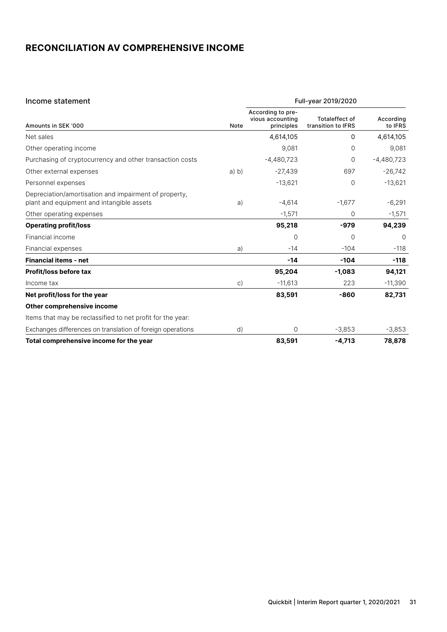### **RECONCILIATION AV COMPREHENSIVE INCOME**

| Income statement                                                                                   |              |                                                     | Full-year 2019/2020                         |                      |
|----------------------------------------------------------------------------------------------------|--------------|-----------------------------------------------------|---------------------------------------------|----------------------|
| Amounts in SEK '000                                                                                | Note         | According to pre-<br>vious accounting<br>principles | <b>Totaleffect of</b><br>transition to IFRS | According<br>to IFRS |
| Net sales                                                                                          |              | 4,614,105                                           | 0                                           | 4,614,105            |
| Other operating income                                                                             |              | 9,081                                               | 0                                           | 9,081                |
| Purchasing of cryptocurrency and other transaction costs                                           |              | $-4,480,723$                                        | 0                                           | $-4,480,723$         |
| Other external expenses                                                                            | a) b)        | $-27,439$                                           | 697                                         | $-26,742$            |
| Personnel expenses                                                                                 |              | $-13,621$                                           | 0                                           | $-13,621$            |
| Depreciation/amortisation and impairment of property,<br>plant and equipment and intangible assets | a)           | $-4,614$                                            | $-1,677$                                    | $-6,291$             |
| Other operating expenses                                                                           |              | $-1,571$                                            | 0                                           | $-1,571$             |
| <b>Operating profit/loss</b>                                                                       |              | 95,218                                              | $-979$                                      | 94,239               |
| Financial income                                                                                   |              | $\Omega$                                            | 0                                           | $\Omega$             |
| Financial expenses                                                                                 | a)           | $-14$                                               | $-104$                                      | $-118$               |
| <b>Financial items - net</b>                                                                       |              | $-14$                                               | $-104$                                      | $-118$               |
| <b>Profit/loss before tax</b>                                                                      |              | 95,204                                              | $-1,083$                                    | 94,121               |
| Income tax                                                                                         | $\mathsf{C}$ | $-11,613$                                           | 223                                         | $-11,390$            |
| Net profit/loss for the year                                                                       |              | 83,591                                              | $-860$                                      | 82,731               |
| Other comprehensive income                                                                         |              |                                                     |                                             |                      |
| Items that may be reclassified to net profit for the year:                                         |              |                                                     |                                             |                      |
| Exchanges differences on translation of foreign operations                                         | d)           | 0                                                   | $-3,853$                                    | $-3,853$             |
| Total comprehensive income for the year                                                            |              | 83,591                                              | $-4,713$                                    | 78,878               |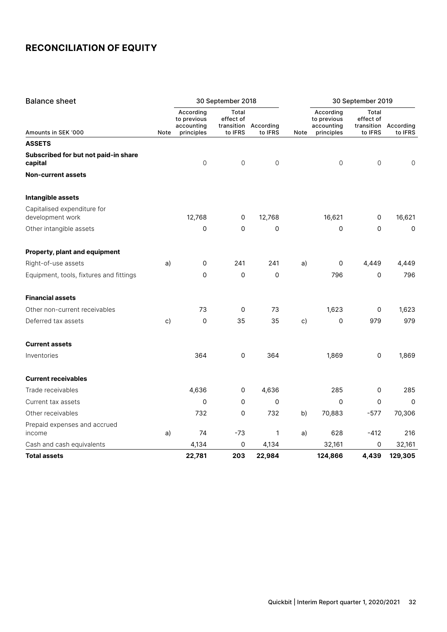| <b>Balance sheet</b>                                             |      | 30 September 2018                      |                    |                      |      | 30 September 2019                      |                     |                      |
|------------------------------------------------------------------|------|----------------------------------------|--------------------|----------------------|------|----------------------------------------|---------------------|----------------------|
|                                                                  |      | According<br>to previous<br>accounting | Total<br>effect of | transition According |      | According<br>to previous<br>accounting | Total<br>effect of  | transition According |
| Amounts in SEK '000                                              | Note | principles                             | to IFRS            | to IFRS              | Note | principles                             | to IFRS             | to IFRS              |
| <b>ASSETS</b><br>Subscribed for but not paid-in share<br>capital |      | $\mathsf{O}$                           | 0                  | $\mathsf{O}\xspace$  |      | $\mathsf{O}\xspace$                    | $\mathbf 0$         | $\mathsf{O}\xspace$  |
| <b>Non-current assets</b>                                        |      |                                        |                    |                      |      |                                        |                     |                      |
| Intangible assets                                                |      |                                        |                    |                      |      |                                        |                     |                      |
| Capitalised expenditure for<br>development work                  |      | 12,768                                 | 0                  | 12,768               |      | 16,621                                 | 0                   | 16,621               |
| Other intangible assets                                          |      | 0                                      | 0                  | 0                    |      | $\mathbf 0$                            | 0                   | $\mathsf{O}\xspace$  |
| Property, plant and equipment                                    |      |                                        |                    |                      |      |                                        |                     |                      |
| Right-of-use assets                                              | a)   | 0                                      | 241                | 241                  | a)   | 0                                      | 4,449               | 4,449                |
| Equipment, tools, fixtures and fittings                          |      | $\mathbf 0$                            | 0                  | 0                    |      | 796                                    | 0                   | 796                  |
| <b>Financial assets</b>                                          |      |                                        |                    |                      |      |                                        |                     |                      |
| Other non-current receivables                                    |      | 73                                     | 0                  | 73                   |      | 1,623                                  | 0                   | 1,623                |
| Deferred tax assets                                              | c)   | 0                                      | 35                 | 35                   | c)   | $\mathbf 0$                            | 979                 | 979                  |
| <b>Current assets</b>                                            |      |                                        |                    |                      |      |                                        |                     |                      |
| Inventories                                                      |      | 364                                    | 0                  | 364                  |      | 1,869                                  | $\mathsf{O}\xspace$ | 1,869                |
| <b>Current receivables</b>                                       |      |                                        |                    |                      |      |                                        |                     |                      |
| Trade receivables                                                |      | 4,636                                  | 0                  | 4,636                |      | 285                                    | 0                   | 285                  |
| Current tax assets                                               |      | $\mathbf 0$                            | 0                  | 0                    |      | $\Omega$                               | 0                   | $\Omega$             |
| Other receivables                                                |      | 732                                    | 0                  | 732                  | b)   | 70,883                                 | $-577$              | 70,306               |
| Prepaid expenses and accrued<br>income                           | a)   | 74                                     | $-73$              | 1                    | a)   | 628                                    | $-412$              | 216                  |
| Cash and cash equivalents                                        |      | 4,134                                  | 0                  | 4,134                |      | 32,161                                 | 0                   | 32,161               |
| <b>Total assets</b>                                              |      | 22,781                                 | 203                | 22,984               |      | 124,866                                | 4,439               | 129,305              |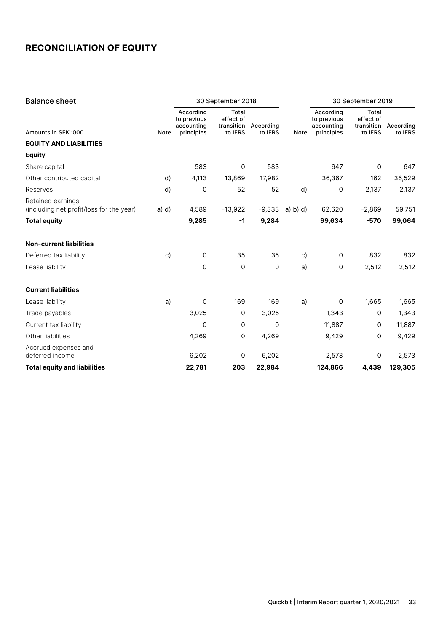| <b>Balance sheet</b>                                          |       | 30 September 2018                                    |                                             |                      |                    | 30 September 2019                                    |                                             |                      |
|---------------------------------------------------------------|-------|------------------------------------------------------|---------------------------------------------|----------------------|--------------------|------------------------------------------------------|---------------------------------------------|----------------------|
| Amounts in SEK '000                                           | Note  | According<br>to previous<br>accounting<br>principles | Total<br>effect of<br>transition<br>to IFRS | According<br>to IFRS | Note               | According<br>to previous<br>accounting<br>principles | Total<br>effect of<br>transition<br>to IFRS | According<br>to IFRS |
| <b>EQUITY AND LIABILITIES</b>                                 |       |                                                      |                                             |                      |                    |                                                      |                                             |                      |
| <b>Equity</b>                                                 |       |                                                      |                                             |                      |                    |                                                      |                                             |                      |
| Share capital                                                 |       | 583                                                  | 0                                           | 583                  |                    | 647                                                  | $\mathbf 0$                                 | 647                  |
| Other contributed capital                                     | d)    | 4,113                                                | 13,869                                      | 17,982               |                    | 36,367                                               | 162                                         | 36,529               |
| Reserves                                                      | d)    | 0                                                    | 52                                          | 52                   | d)                 | 0                                                    | 2,137                                       | 2,137                |
| Retained earnings<br>(including net profit/loss for the year) | a) d) | 4,589                                                | $-13,922$                                   | $-9,333$             | $a)$ ,b $)$ ,d $)$ | 62,620                                               | $-2,869$                                    | 59,751               |
| <b>Total equity</b>                                           |       | 9,285                                                | $-1$                                        | 9,284                |                    | 99,634                                               | $-570$                                      | 99,064               |
| <b>Non-current liabilities</b>                                |       |                                                      |                                             |                      |                    |                                                      |                                             |                      |
| Deferred tax liability                                        | c)    | $\mathsf{O}\xspace$                                  | 35                                          | 35                   | c)                 | 0                                                    | 832                                         | 832                  |
| Lease liability                                               |       | $\mathbf 0$                                          | $\mathbf 0$                                 | 0                    | a)                 | 0                                                    | 2,512                                       | 2,512                |
| <b>Current liabilities</b>                                    |       |                                                      |                                             |                      |                    |                                                      |                                             |                      |
| Lease liability                                               | a)    | 0                                                    | 169                                         | 169                  | a)                 | 0                                                    | 1,665                                       | 1,665                |
| Trade payables                                                |       | 3,025                                                | 0                                           | 3,025                |                    | 1,343                                                | $\Omega$                                    | 1,343                |
| Current tax liability                                         |       | 0                                                    | 0                                           | 0                    |                    | 11,887                                               | 0                                           | 11,887               |
| Other liabilities                                             |       | 4,269                                                | 0                                           | 4,269                |                    | 9,429                                                | 0                                           | 9,429                |
| Accrued expenses and<br>deferred income                       |       | 6,202                                                | $\mathsf{O}\xspace$                         | 6,202                |                    | 2,573                                                | $\mathsf{O}\xspace$                         | 2,573                |
| <b>Total equity and liabilities</b>                           |       | 22,781                                               | 203                                         | 22,984               |                    | 124,866                                              | 4,439                                       | 129,305              |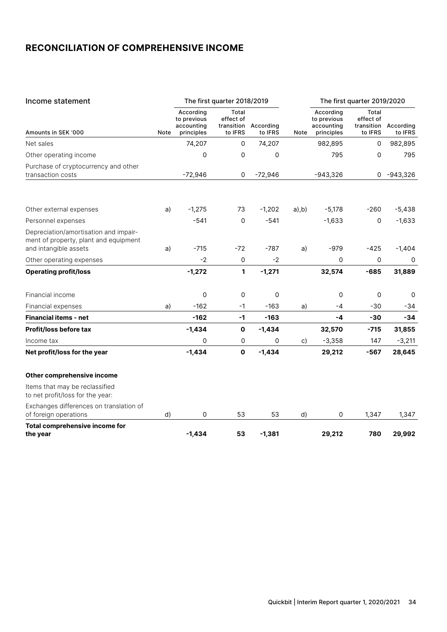### **RECONCILIATION OF COMPREHENSIVE INCOME**

| Income statement                                                                                        |      | The first quarter 2018/2019                          |                                             |                      |           | The first quarter 2019/2020                          |                                             |                      |
|---------------------------------------------------------------------------------------------------------|------|------------------------------------------------------|---------------------------------------------|----------------------|-----------|------------------------------------------------------|---------------------------------------------|----------------------|
| Amounts in SEK '000                                                                                     | Note | According<br>to previous<br>accounting<br>principles | Total<br>effect of<br>transition<br>to IFRS | According<br>to IFRS | Note      | According<br>to previous<br>accounting<br>principles | Total<br>effect of<br>transition<br>to IFRS | According<br>to IFRS |
| Net sales                                                                                               |      | 74,207                                               | $\mathbf 0$                                 | 74,207               |           | 982,895                                              | 0                                           | 982,895              |
| Other operating income                                                                                  |      | 0                                                    | 0                                           | 0                    |           | 795                                                  | 0                                           | 795                  |
| Purchase of cryptocurrency and other<br>transaction costs                                               |      | $-72,946$                                            | 0                                           | $-72,946$            |           | $-943,326$                                           | 0                                           | -943,326             |
|                                                                                                         |      |                                                      |                                             |                      |           |                                                      |                                             |                      |
| Other external expenses                                                                                 | a)   | $-1,275$                                             | 73                                          | $-1,202$             | $a)$ , b) | $-5,178$                                             | $-260$                                      | $-5,438$             |
| Personnel expenses                                                                                      |      | $-541$                                               | $\Omega$                                    | $-541$               |           | $-1,633$                                             | 0                                           | $-1,633$             |
| Depreciation/amortisation and impair-<br>ment of property, plant and equipment<br>and intangible assets | a)   | $-715$                                               | $-72$                                       | $-787$               | a)        | $-979$                                               | $-425$                                      | $-1,404$             |
| Other operating expenses                                                                                |      | $-2$                                                 | 0                                           | $-2$                 |           | 0                                                    | 0                                           | 0                    |
| <b>Operating profit/loss</b>                                                                            |      | $-1,272$                                             | 1                                           | $-1,271$             |           | 32,574                                               | $-685$                                      | 31,889               |
| Financial income                                                                                        |      | 0                                                    | 0                                           | 0                    |           | 0                                                    | 0                                           | 0                    |
| Financial expenses                                                                                      | a)   | $-162$                                               | $-1$                                        | $-163$               | a)        | $-4$                                                 | $-30$                                       | $-34$                |
| <b>Financial items - net</b>                                                                            |      | $-162$                                               | $-1$                                        | $-163$               |           | -4                                                   | $-30$                                       | $-34$                |
| <b>Profit/loss before tax</b>                                                                           |      | $-1,434$                                             | $\mathbf 0$                                 | $-1,434$             |           | 32,570                                               | $-715$                                      | 31,855               |
| Income tax                                                                                              |      | $\mathbf 0$                                          | 0                                           | 0                    | c)        | $-3,358$                                             | 147                                         | $-3,211$             |
| Net profit/loss for the year                                                                            |      | $-1,434$                                             | $\mathbf 0$                                 | $-1,434$             |           | 29,212                                               | $-567$                                      | 28,645               |
| Other comprehensive income                                                                              |      |                                                      |                                             |                      |           |                                                      |                                             |                      |
| Items that may be reclassified<br>to net profit/loss for the year:                                      |      |                                                      |                                             |                      |           |                                                      |                                             |                      |
| Exchanges differences on translation of<br>of foreign operations                                        | d)   | 0                                                    | 53                                          | 53                   | d)        | 0                                                    | 1,347                                       | 1,347                |
| <b>Total comprehensive income for</b><br>the year                                                       |      | $-1.434$                                             | 53                                          | $-1,381$             |           | 29,212                                               | 780                                         | 29.992               |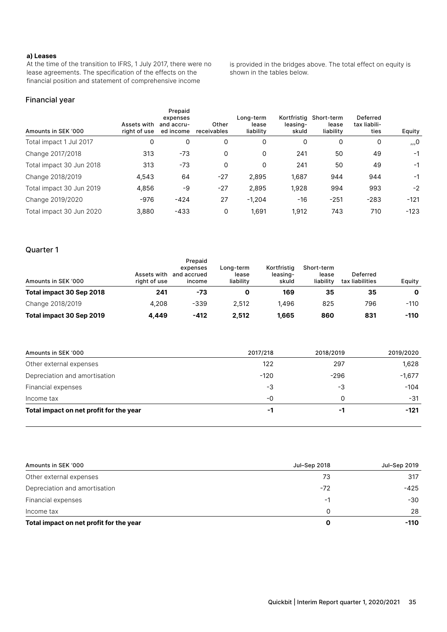#### **a) Leases**

At the time of the transition to IFRS, 1 July 2017, there were no lease agreements. The specification of the effects on the financial position and statement of comprehensive income

is provided in the bridges above. The total effect on equity is shown in the tables below.

#### Financial year

| Amounts in SEK '000      | Assets with<br>right of use | Prepaid<br>expenses<br>and accru-<br>ed income | Other<br>receivables | Long-term<br>lease<br>liability | Kortfristig<br>leasing-<br>skuld | Short-term<br>lease<br>liability | Deferred<br>tax liabili-<br>ties | Equity |
|--------------------------|-----------------------------|------------------------------------------------|----------------------|---------------------------------|----------------------------------|----------------------------------|----------------------------------|--------|
| Total impact 1 Jul 2017  | 0                           | 0                                              | 0                    | 0                               | 0                                | 0                                | 0                                | ,,,0   |
| Change 2017/2018         | 313                         | $-73$                                          | 0                    | 0                               | 241                              | 50                               | 49                               | $-1$   |
| Total impact 30 Jun 2018 | 313                         | $-73$                                          | 0                    | 0                               | 241                              | 50                               | 49                               | $-1$   |
| Change 2018/2019         | 4,543                       | 64                                             | $-27$                | 2,895                           | 1,687                            | 944                              | 944                              | $-1$   |
| Total impact 30 Jun 2019 | 4,856                       | -9                                             | $-27$                | 2,895                           | 1,928                            | 994                              | 993                              | $-2$   |
| Change 2019/2020         | $-976$                      | $-424$                                         | 27                   | $-1.204$                        | $-16$                            | $-251$                           | $-283$                           | $-121$ |
| Total impact 30 Jun 2020 | 3,880                       | $-433$                                         | 0                    | 1,691                           | 1,912                            | 743                              | 710                              | $-123$ |

#### Quarter 1

| Amounts in SEK '000      | Assets with<br>right of use | Prepaid<br>expenses<br>and accrued<br>income | Lona-term<br>lease<br>liability | Kortfristig<br>leasing-<br>skuld | Short-term<br>lease<br>liability | Deferred<br>tax liabilities | Equity |
|--------------------------|-----------------------------|----------------------------------------------|---------------------------------|----------------------------------|----------------------------------|-----------------------------|--------|
| Total impact 30 Sep 2018 | 241                         | -73                                          | 0                               | 169                              | 35                               | 35                          | 0      |
| Change 2018/2019         | 4.208                       | -339                                         | 2.512                           | 1.496                            | 825                              | 796                         | $-110$ |
| Total impact 30 Sep 2019 | 4.449                       | $-412$                                       | 2.512                           | 1,665                            | 860                              | 831                         | $-110$ |

| Amounts in SEK '000                     | 2017/218 | 2018/2019 | 2019/2020 |
|-----------------------------------------|----------|-----------|-----------|
| Other external expenses                 | 122      | 297       | 1,628     |
| Depreciation and amortisation           | $-120$   | $-296$    | $-1,677$  |
| Financial expenses                      | -3       | -3        | $-104$    |
| Income tax                              | -0       | 0         | $-31$     |
| Total impact on net profit for the year | -1       | -1        | $-121$    |

| Amounts in SEK '000                     | Jul-Sep 2018 | Jul–Sep 2019 |
|-----------------------------------------|--------------|--------------|
| Other external expenses                 | 73           | 317          |
| Depreciation and amortisation           | $-72$        | -425         |
| Financial expenses                      | -1           | -30          |
| Income tax                              |              | 28           |
| Total impact on net profit for the year |              | $-110$       |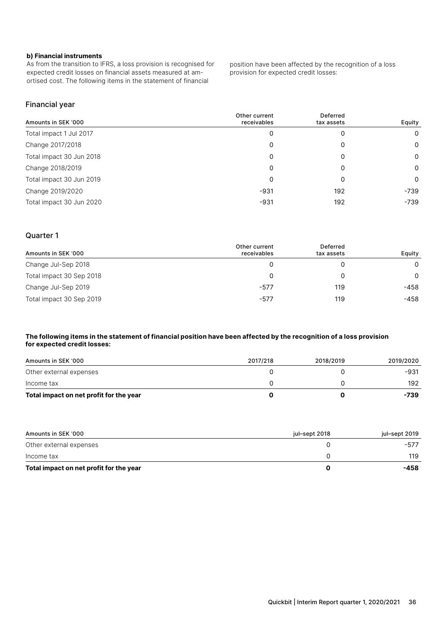#### **b) Financial instruments**

As from the transition to IFRS, a loss provision is recognised for expected credit losses on financial assets measured at amortised cost. The following items in the statement of financial

position have been affected by the recognition of a loss provision for expected credit losses:

#### Financial year

| Amounts in SEK '000      | Other current<br>receivables | Deferred<br>tax assets | Equity |
|--------------------------|------------------------------|------------------------|--------|
| Total impact 1 Jul 2017  | 0                            | 0                      | 0      |
| Change 2017/2018         | 0                            | 0                      | 0      |
| Total impact 30 Jun 2018 | 0                            | 0                      | 0      |
| Change 2018/2019         | 0                            | 0                      | 0      |
| Total impact 30 Jun 2019 | 0                            | 0                      | 0      |
| Change 2019/2020         | -931                         | 192                    | -739   |
| Total impact 30 Jun 2020 | $-931$                       | 192                    | -739   |

#### Quarter 1

| Amounts in SEK '000      | Other current<br>receivables | Deferred<br>tax assets | Equity |
|--------------------------|------------------------------|------------------------|--------|
| Change Jul-Sep 2018      |                              |                        | 0      |
| Total impact 30 Sep 2018 | 0                            |                        | 0      |
| Change Jul-Sep 2019      | $-577$                       | 119                    | -458   |
| Total impact 30 Sep 2019 | $-577$                       | 119                    | -458   |

#### **The following items in the statement of financial position have been affected by the recognition of a loss provision for expected credit losses:**

| Amounts in SEK '000                     | 2017/218 | 2018/2019 | 2019/2020 |
|-----------------------------------------|----------|-----------|-----------|
| Other external expenses                 |          |           | -931      |
| Income tax                              |          |           | 192       |
| Total impact on net profit for the year |          |           | -739      |

| Amounts in SEK '000                     | iul–sept 2018 | jul–sept 2019 |
|-----------------------------------------|---------------|---------------|
| Other external expenses                 |               | -577          |
| Income tax                              |               | 119           |
| Total impact on net profit for the year |               | -458          |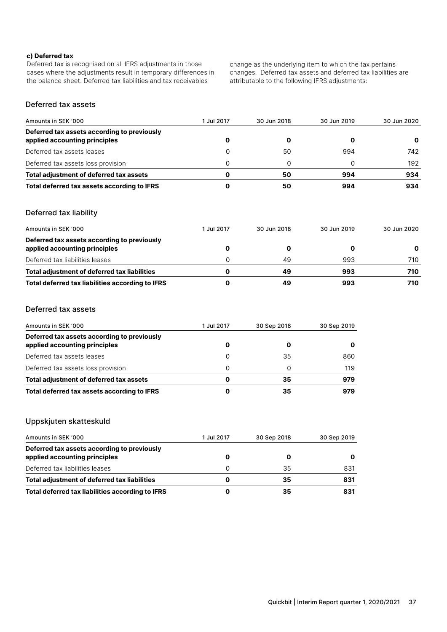#### **c) Deferred tax**

Deferred tax is recognised on all IFRS adjustments in those cases where the adjustments result in temporary differences in the balance sheet. Deferred tax liabilities and tax receivables

change as the underlying item to which the tax pertains changes. Deferred tax assets and deferred tax liabilities are attributable to the following IFRS adjustments:

### Deferred tax assets

| Amounts in SEK '000                                                          | 1 Jul 2017 | 30 Jun 2018 | 30 Jun 2019 | 30 Jun 2020 |
|------------------------------------------------------------------------------|------------|-------------|-------------|-------------|
| Deferred tax assets according to previously<br>applied accounting principles |            |             |             |             |
| Deferred tax assets leases                                                   |            | 50          | 994         | 742         |
| Deferred tax assets loss provision                                           |            |             |             | 192         |
| Total adjustment of deferred tax assets                                      | 0          | 50          | 994         | 934         |
| Total deferred tax assets according to IFRS                                  | O          | 50          | 994         | 934         |

#### Deferred tax liability

| Amounts in SEK '000                                                          | 1 Jul 2017 | 30 Jun 2018 | 30 Jun 2019 | 30 Jun 2020 |
|------------------------------------------------------------------------------|------------|-------------|-------------|-------------|
| Deferred tax assets according to previously<br>applied accounting principles |            |             |             |             |
| Deferred tax liabilities leases                                              |            | 49          | 993         | 710         |
| Total adjustment of deferred tax liabilities                                 | O          | 49          | 993         | 710         |
| Total deferred tax liabilities according to IFRS                             |            | 49          | 993         | 710         |

### Deferred tax assets

| Amounts in SEK '000                                                          | 1 Jul 2017 | 30 Sep 2018 | 30 Sep 2019 |
|------------------------------------------------------------------------------|------------|-------------|-------------|
| Deferred tax assets according to previously<br>applied accounting principles |            |             |             |
| Deferred tax assets leases                                                   | 0          | 35          | 860         |
| Deferred tax assets loss provision                                           | 0          |             | 119         |
| Total adjustment of deferred tax assets                                      |            | 35          | 979         |
| Total deferred tax assets according to IFRS                                  |            | 35          | 979         |

#### Uppskjuten skatteskuld

| Amounts in SEK '000                                                          | 1 Jul 2017 | 30 Sep 2018 | 30 Sep 2019 |
|------------------------------------------------------------------------------|------------|-------------|-------------|
| Deferred tax assets according to previously<br>applied accounting principles |            |             |             |
| Deferred tax liabilities leases                                              | 0          | 35          | 831         |
| Total adjustment of deferred tax liabilities                                 | O          | 35          | 831         |
| Total deferred tax liabilities according to IFRS                             |            | 35          | 831         |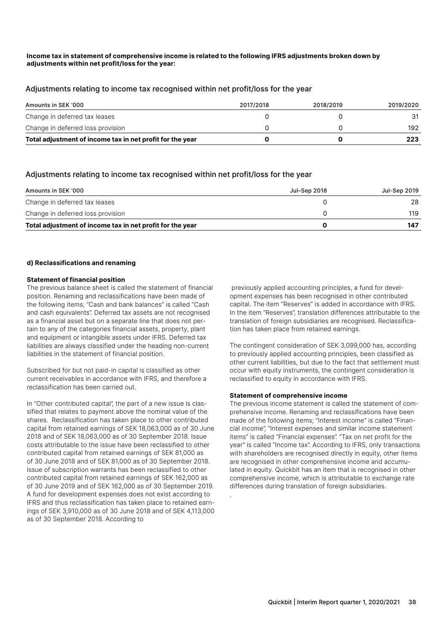#### **Income tax in statement of comprehensive income is related to the following IFRS adjustments broken down by adjustments within net profit/loss for the year:**

#### Adjustments relating to income tax recognised within net profit/loss for the year

| Amounts in SEK '000                                       | 2017/2018 | 2018/2019 | 2019/2020 |
|-----------------------------------------------------------|-----------|-----------|-----------|
| Change in deferred tax leases                             |           |           |           |
| Change in deferred loss provision                         |           |           | 192       |
| Total adjustment of income tax in net profit for the year |           |           | 223       |

### Adjustments relating to income tax recognised within net profit/loss for the year

| Amounts in SEK '000                                       | Jul–Sep 2018 | Jul-Sep 2019 |
|-----------------------------------------------------------|--------------|--------------|
| Change in deferred tax leases                             |              |              |
| Change in deferred loss provision                         |              | 119          |
| Total adjustment of income tax in net profit for the year |              | 147          |

.

#### **d) Reclassifications and renaming**

#### **Statement of financial position**

The previous balance sheet is called the statement of financial position. Renaming and reclassifications have been made of the following items; "Cash and bank balances" is called "Cash and cash equivalents". Deferred tax assets are not recognised as a financial asset but on a separate line that does not pertain to any of the categories financial assets, property, plant and equipment or intangible assets under IFRS. Deferred tax liabilities are always classified under the heading non-current liabilities in the statement of financial position.

Subscribed for but not paid-in capital is classified as other current receivables in accordance with IFRS, and therefore a reclassification has been carried out.

In "Other contributed capital", the part of a new issue is classified that relates to payment above the nominal value of the shares. Reclassification has taken place to other contributed capital from retained earnings of SEK 18,063,000 as of 30 June 2018 and of SEK 18,063,000 as of 30 September 2018. Issue costs attributable to the issue have been reclassified to other contributed capital from retained earnings of SEK 81,000 as of 30 June 2018 and of SEK 81,000 as of 30 September 2018. Issue of subscription warrants has been reclassified to other contributed capital from retained earnings of SEK 162,000 as of 30 June 2019 and of SEK 162,000 as of 30 September 2019. A fund for development expenses does not exist according to IFRS and thus reclassification has taken place to retained earnings of SEK 3,910,000 as of 30 June 2018 and of SEK 4,113,000 as of 30 September 2018. According to

 previously applied accounting principles, a fund for development expenses has been recognised in other contributed capital. The item "Reserves" is added in accordance with IFRS. In the item "Reserves", translation differences attributable to the translation of foreign subsidiaries are recognised. Reclassification has taken place from retained earnings.

The contingent consideration of SEK 3,099,000 has, according to previously applied accounting principles, been classified as other current liabilities, but due to the fact that settlement must occur with equity instruments, the contingent consideration is reclassified to equity in accordance with IFRS.

#### **Statement of comprehensive income**

The previous income statement is called the statement of comprehensive income. Renaming and reclassifications have been made of the following items; "Interest income" is called "Financial income", "Interest expenses and similar income statement items" is called "Financial expenses". "Tax on net profit for the year" is called "Income tax". According to IFRS, only transactions with shareholders are recognised directly in equity, other items are recognised in other comprehensive income and accumulated in equity. Quickbit has an item that is recognised in other comprehensive income, which is attributable to exchange rate differences during translation of foreign subsidiaries.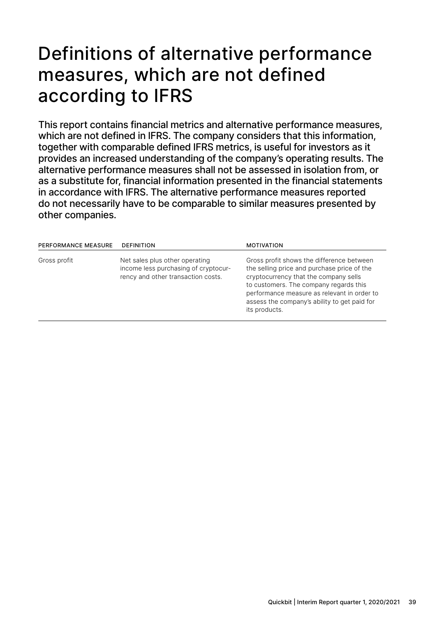# Definitions of alternative performance measures, which are not defined according to IFRS

This report contains financial metrics and alternative performance measures, which are not defined in IFRS. The company considers that this information, together with comparable defined IFRS metrics, is useful for investors as it provides an increased understanding of the company's operating results. The alternative performance measures shall not be assessed in isolation from, or as a substitute for, financial information presented in the financial statements in accordance with IFRS. The alternative performance measures reported do not necessarily have to be comparable to similar measures presented by other companies.

| <b>PERFORMANCE MEASURE</b> | <b>DEFINITION</b>                                                                                            | <b>MOTIVATION</b>                                                                                                                                                                                                                                                                           |
|----------------------------|--------------------------------------------------------------------------------------------------------------|---------------------------------------------------------------------------------------------------------------------------------------------------------------------------------------------------------------------------------------------------------------------------------------------|
| Gross profit               | Net sales plus other operating<br>income less purchasing of cryptocur-<br>rency and other transaction costs. | Gross profit shows the difference between<br>the selling price and purchase price of the<br>cryptocurrency that the company sells<br>to customers. The company regards this<br>performance measure as relevant in order to<br>assess the company's ability to get paid for<br>its products. |